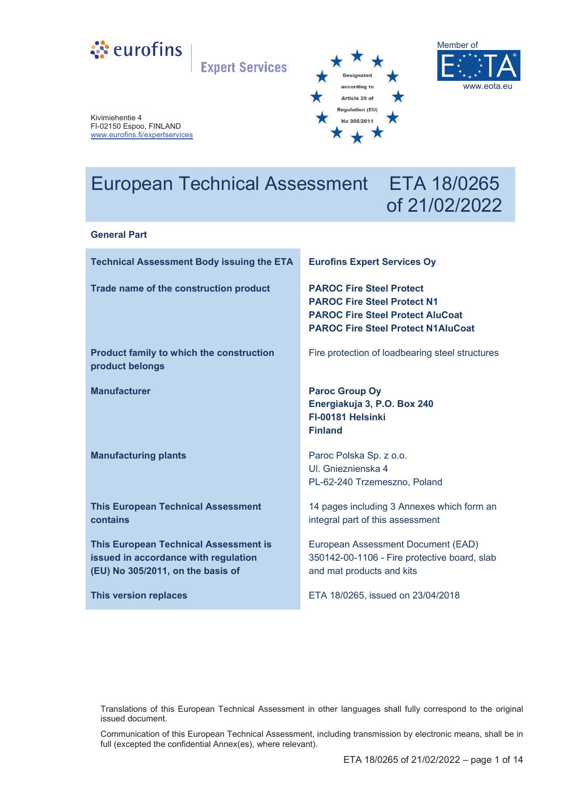

**Expert Services** 





Kivimiehentie 4 FI-02150 Espoo, FINLAND www.eurofins.fi/expertservices

# European Technical Assessment ETA 18/0265

# of 21/02/2022

#### **General Part**

| <b>Technical Assessment Body issuing the ETA</b>                                                                          | <b>Eurofins Expert Services Oy</b>                                                                                                                            |
|---------------------------------------------------------------------------------------------------------------------------|---------------------------------------------------------------------------------------------------------------------------------------------------------------|
| Trade name of the construction product                                                                                    | <b>PAROC Fire Steel Protect</b><br><b>PAROC Fire Steel Protect N1</b><br><b>PAROC Fire Steel Protect AluCoat</b><br><b>PAROC Fire Steel Protect N1AluCoat</b> |
| <b>Product family to which the construction</b><br>product belongs                                                        | Fire protection of loadbearing steel structures                                                                                                               |
| <b>Manufacturer</b>                                                                                                       | <b>Paroc Group Oy</b><br>Energiakuja 3, P.O. Box 240<br>FI-00181 Helsinki<br><b>Finland</b>                                                                   |
| <b>Manufacturing plants</b>                                                                                               | Paroc Polska Sp. z o.o.<br>UI. Gnieznienska 4<br>PL-62-240 Trzemeszno, Poland                                                                                 |
| <b>This European Technical Assessment</b><br>contains                                                                     | 14 pages including 3 Annexes which form an<br>integral part of this assessment                                                                                |
| <b>This European Technical Assessment is</b><br>issued in accordance with regulation<br>(EU) No 305/2011, on the basis of | European Assessment Document (EAD)<br>350142-00-1106 - Fire protective board, slab<br>and mat products and kits                                               |
| This version replaces                                                                                                     | ETA 18/0265, issued on 23/04/2018                                                                                                                             |

Translations of this European Technical Assessment in other languages shall fully correspond to the original issued document.

Communication of this European Technical Assessment, including transmission by electronic means, shall be in full (excepted the confidential Annex(es), where relevant).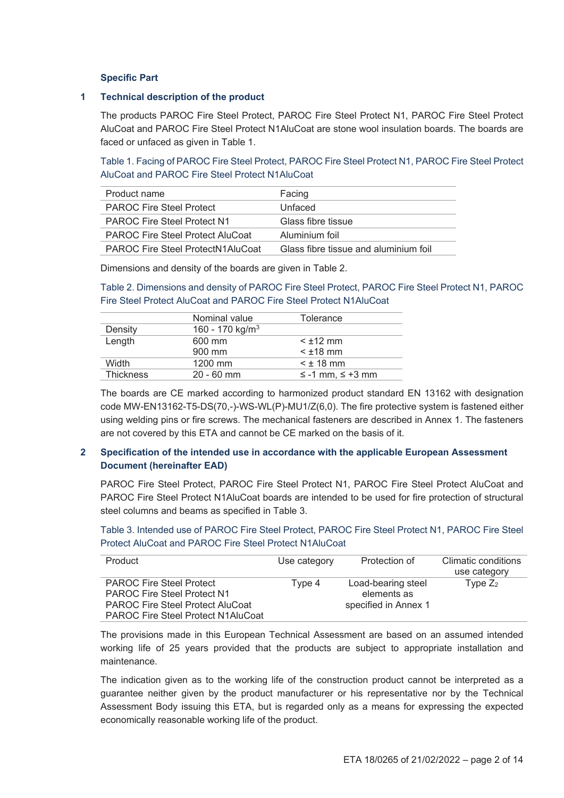#### **Specific Part**

#### **1 Technical description of the product**

The products PAROC Fire Steel Protect, PAROC Fire Steel Protect N1, PAROC Fire Steel Protect AluCoat and PAROC Fire Steel Protect N1AluCoat are stone wool insulation boards. The boards are faced or unfaced as given in Table 1.

Table 1. Facing of PAROC Fire Steel Protect, PAROC Fire Steel Protect N1, PAROC Fire Steel Protect AluCoat and PAROC Fire Steel Protect N1AluCoat

| Product name                             | Facing                                |
|------------------------------------------|---------------------------------------|
| <b>PAROC Fire Steel Protect</b>          | Unfaced                               |
| <b>PAROC Fire Steel Protect N1</b>       | Glass fibre tissue                    |
| <b>PAROC Fire Steel Protect AluCoat</b>  | Aluminium foil                        |
| <b>PAROC Fire Steel ProtectN1AluCoat</b> | Glass fibre tissue and aluminium foil |

Dimensions and density of the boards are given in Table 2.

Table 2. Dimensions and density of PAROC Fire Steel Protect, PAROC Fire Steel Protect N1, PAROC Fire Steel Protect AluCoat and PAROC Fire Steel Protect N1AluCoat

|                  | Nominal value               | Tolerance                  |
|------------------|-----------------------------|----------------------------|
| Density          | 160 - 170 kg/m <sup>3</sup> |                            |
| Length           | 600 mm                      | $<$ $\pm$ 12 mm            |
|                  | 900 mm                      | $<$ $±18$ mm               |
| Width            | 1200 mm                     | $<$ $\pm$ 18 mm            |
| <b>Thickness</b> | $20 - 60$ mm                | $\leq$ -1 mm, $\leq$ +3 mm |

The boards are CE marked according to harmonized product standard EN 13162 with designation code MW-EN13162-T5-DS(70,-)-WS-WL(P)-MU1/Z(6,0). The fire protective system is fastened either using welding pins or fire screws. The mechanical fasteners are described in Annex 1. The fasteners are not covered by this ETA and cannot be CE marked on the basis of it.

#### **2 Specification of the intended use in accordance with the applicable European Assessment Document (hereinafter EAD)**

PAROC Fire Steel Protect, PAROC Fire Steel Protect N1, PAROC Fire Steel Protect AluCoat and PAROC Fire Steel Protect N1AluCoat boards are intended to be used for fire protection of structural steel columns and beams as specified in Table 3.

Table 3. Intended use of PAROC Fire Steel Protect, PAROC Fire Steel Protect N1, PAROC Fire Steel Protect AluCoat and PAROC Fire Steel Protect N1AluCoat

| Product                                   | Use category | Protection of        | Climatic conditions |
|-------------------------------------------|--------------|----------------------|---------------------|
|                                           |              |                      | use category        |
| <b>PAROC Fire Steel Protect</b>           | Type 4       | Load-bearing steel   | Type $Z_2$          |
| <b>PAROC Fire Steel Protect N1</b>        |              | elements as          |                     |
| <b>PAROC Fire Steel Protect AluCoat</b>   |              | specified in Annex 1 |                     |
| <b>PAROC Fire Steel Protect N1AluCoat</b> |              |                      |                     |

The provisions made in this European Technical Assessment are based on an assumed intended working life of 25 years provided that the products are subject to appropriate installation and maintenance.

The indication given as to the working life of the construction product cannot be interpreted as a guarantee neither given by the product manufacturer or his representative nor by the Technical Assessment Body issuing this ETA, but is regarded only as a means for expressing the expected economically reasonable working life of the product.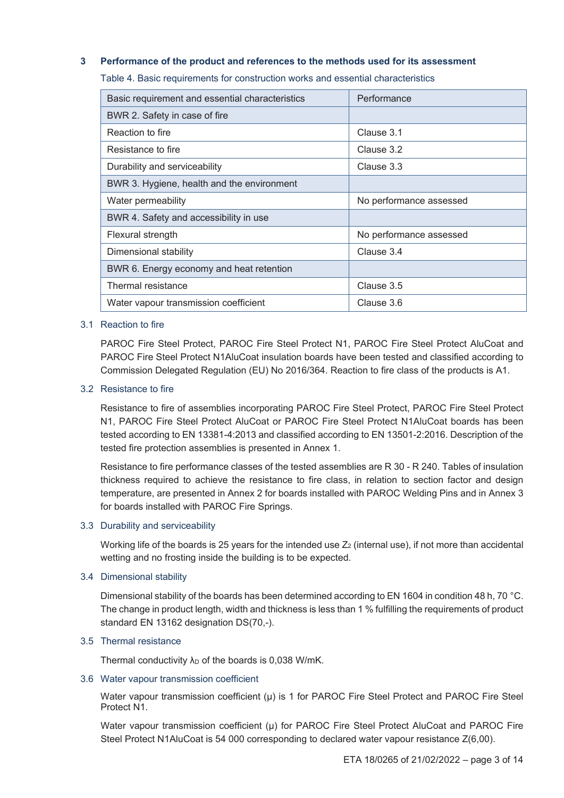#### **3 Performance of the product and references to the methods used for its assessment**

Table 4. Basic requirements for construction works and essential characteristics

| Basic requirement and essential characteristics | Performance             |
|-------------------------------------------------|-------------------------|
| BWR 2. Safety in case of fire                   |                         |
| Reaction to fire                                | Clause 3.1              |
| Resistance to fire                              | Clause 3.2              |
| Durability and serviceability                   | Clause 3.3              |
| BWR 3. Hygiene, health and the environment      |                         |
| Water permeability                              | No performance assessed |
| BWR 4. Safety and accessibility in use          |                         |
| Flexural strength                               | No performance assessed |
| Dimensional stability                           | Clause 3.4              |
| BWR 6. Energy economy and heat retention        |                         |
| Thermal resistance                              | Clause 3.5              |
| Water vapour transmission coefficient           | Clause 3.6              |

#### 3.1 Reaction to fire

PAROC Fire Steel Protect, PAROC Fire Steel Protect N1, PAROC Fire Steel Protect AluCoat and PAROC Fire Steel Protect N1AluCoat insulation boards have been tested and classified according to Commission Delegated Regulation (EU) No 2016/364. Reaction to fire class of the products is A1.

#### 3.2 Resistance to fire

Resistance to fire of assemblies incorporating PAROC Fire Steel Protect, PAROC Fire Steel Protect N1, PAROC Fire Steel Protect AluCoat or PAROC Fire Steel Protect N1AluCoat boards has been tested according to EN 13381-4:2013 and classified according to EN 13501-2:2016. Description of the tested fire protection assemblies is presented in Annex 1.

Resistance to fire performance classes of the tested assemblies are R 30 - R 240. Tables of insulation thickness required to achieve the resistance to fire class, in relation to section factor and design temperature, are presented in Annex 2 for boards installed with PAROC Welding Pins and in Annex 3 for boards installed with PAROC Fire Springs.

#### 3.3 Durability and serviceability

Working life of the boards is 25 years for the intended use  $Z_2$  (internal use), if not more than accidental wetting and no frosting inside the building is to be expected.

#### 3.4 Dimensional stability

Dimensional stability of the boards has been determined according to EN 1604 in condition 48 h, 70 °C. The change in product length, width and thickness is less than 1 % fulfilling the requirements of product standard EN 13162 designation DS(70,-).

#### 3.5 Thermal resistance

Thermal conductivity  $\lambda_D$  of the boards is 0,038 W/mK.

#### 3.6 Water vapour transmission coefficient

Water vapour transmission coefficient (μ) is 1 for PAROC Fire Steel Protect and PAROC Fire Steel Protect N1.

Water vapour transmission coefficient (μ) for PAROC Fire Steel Protect AluCoat and PAROC Fire Steel Protect N1AluCoat is 54 000 corresponding to declared water vapour resistance Z(6,00).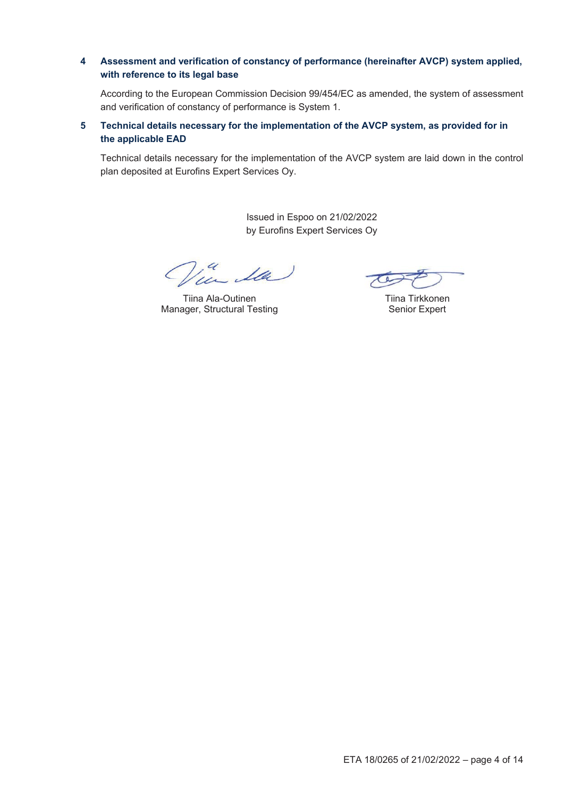# **4 Assessment and verification of constancy of performance (hereinafter AVCP) system applied, with reference to its legal base**

According to the European Commission Decision 99/454/EC as amended, the system of assessment and verification of constancy of performance is System 1.

# **5 Technical details necessary for the implementation of the AVCP system, as provided for in the applicable EAD**

Technical details necessary for the implementation of the AVCP system are laid down in the control plan deposited at Eurofins Expert Services Oy.

> Issued in Espoo on 21/02/2022 by Eurofins Expert Services Oy

14 Ila

Tiina Ala-Outinen Manager, Structural Testing

Tiina Tirkkonen Senior Expert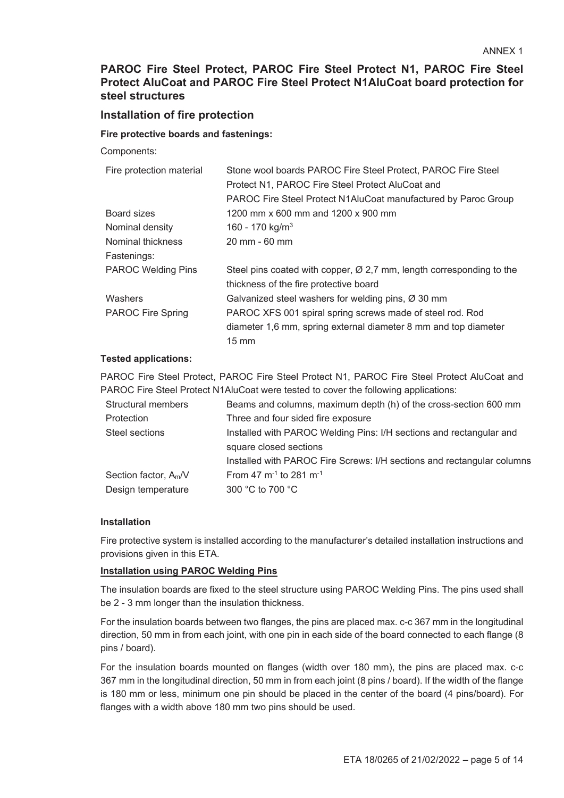# **PAROC Fire Steel Protect, PAROC Fire Steel Protect N1, PAROC Fire Steel Protect AluCoat and PAROC Fire Steel Protect N1AluCoat board protection for steel structures**

# **Installation of fire protection**

#### **Fire protective boards and fastenings:**

Components:

| Fire protection material  | Stone wool boards PAROC Fire Steel Protect, PAROC Fire Steel                     |
|---------------------------|----------------------------------------------------------------------------------|
|                           | Protect N1, PAROC Fire Steel Protect AluCoat and                                 |
|                           | PAROC Fire Steel Protect N1AluCoat manufactured by Paroc Group                   |
| Board sizes               | 1200 mm x 600 mm and 1200 x 900 mm                                               |
| Nominal density           | 160 - 170 kg/m <sup>3</sup>                                                      |
| Nominal thickness         | $20 \, \text{mm}$ - 60 mm                                                        |
| Fastenings:               |                                                                                  |
| <b>PAROC Welding Pins</b> | Steel pins coated with copper, $\varnothing$ 2,7 mm, length corresponding to the |
|                           | thickness of the fire protective board                                           |
| Washers                   | Galvanized steel washers for welding pins, $\varnothing$ 30 mm                   |
| <b>PAROC Fire Spring</b>  | PAROC XFS 001 spiral spring screws made of steel rod. Rod                        |
|                           | diameter 1,6 mm, spring external diameter 8 mm and top diameter                  |
|                           | $15 \text{ mm}$                                                                  |
|                           |                                                                                  |

#### **Tested applications:**

PAROC Fire Steel Protect, PAROC Fire Steel Protect N1, PAROC Fire Steel Protect AluCoat and PAROC Fire Steel Protect N1AluCoat were tested to cover the following applications:

| Structural members                | Beams and columns, maximum depth (h) of the cross-section 600 mm       |
|-----------------------------------|------------------------------------------------------------------------|
| Protection                        | Three and four sided fire exposure                                     |
| Steel sections                    | Installed with PAROC Welding Pins: I/H sections and rectangular and    |
|                                   | square closed sections                                                 |
|                                   | Installed with PAROC Fire Screws: I/H sections and rectangular columns |
| Section factor, A <sub>m</sub> /V | From 47 $m^{-1}$ to 281 $m^{-1}$                                       |
| Design temperature                | 300 °C to 700 °C                                                       |
|                                   |                                                                        |

#### **Installation**

Fire protective system is installed according to the manufacturer's detailed installation instructions and provisions given in this ETA.

#### **Installation using PAROC Welding Pins**

The insulation boards are fixed to the steel structure using PAROC Welding Pins. The pins used shall be 2 - 3 mm longer than the insulation thickness.

For the insulation boards between two flanges, the pins are placed max. c-c 367 mm in the longitudinal direction, 50 mm in from each joint, with one pin in each side of the board connected to each flange (8 pins / board).

For the insulation boards mounted on flanges (width over 180 mm), the pins are placed max. c-c 367 mm in the longitudinal direction, 50 mm in from each joint (8 pins / board). If the width of the flange is 180 mm or less, minimum one pin should be placed in the center of the board (4 pins/board). For flanges with a width above 180 mm two pins should be used.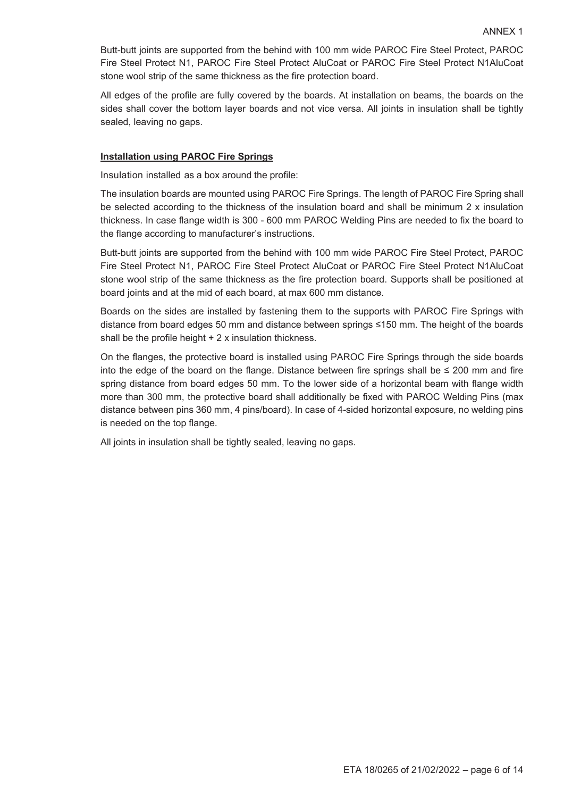Butt-butt joints are supported from the behind with 100 mm wide PAROC Fire Steel Protect, PAROC Fire Steel Protect N1, PAROC Fire Steel Protect AluCoat or PAROC Fire Steel Protect N1AluCoat stone wool strip of the same thickness as the fire protection board.

All edges of the profile are fully covered by the boards. At installation on beams, the boards on the sides shall cover the bottom layer boards and not vice versa. All joints in insulation shall be tightly sealed, leaving no gaps.

#### **Installation using PAROC Fire Springs**

Insulation installed as a box around the profile:

The insulation boards are mounted using PAROC Fire Springs. The length of PAROC Fire Spring shall be selected according to the thickness of the insulation board and shall be minimum 2 x insulation thickness. In case flange width is 300 - 600 mm PAROC Welding Pins are needed to fix the board to the flange according to manufacturer's instructions.

Butt-butt joints are supported from the behind with 100 mm wide PAROC Fire Steel Protect, PAROC Fire Steel Protect N1, PAROC Fire Steel Protect AluCoat or PAROC Fire Steel Protect N1AluCoat stone wool strip of the same thickness as the fire protection board. Supports shall be positioned at board joints and at the mid of each board, at max 600 mm distance.

Boards on the sides are installed by fastening them to the supports with PAROC Fire Springs with distance from board edges 50 mm and distance between springs  $\leq 150$  mm. The height of the boards shall be the profile height  $+2x$  insulation thickness.

On the flanges, the protective board is installed using PAROC Fire Springs through the side boards into the edge of the board on the flange. Distance between fire springs shall be  $\leq$  200 mm and fire spring distance from board edges 50 mm. To the lower side of a horizontal beam with flange width more than 300 mm, the protective board shall additionally be fixed with PAROC Welding Pins (max distance between pins 360 mm, 4 pins/board). In case of 4-sided horizontal exposure, no welding pins is needed on the top flange.

All joints in insulation shall be tightly sealed, leaving no gaps.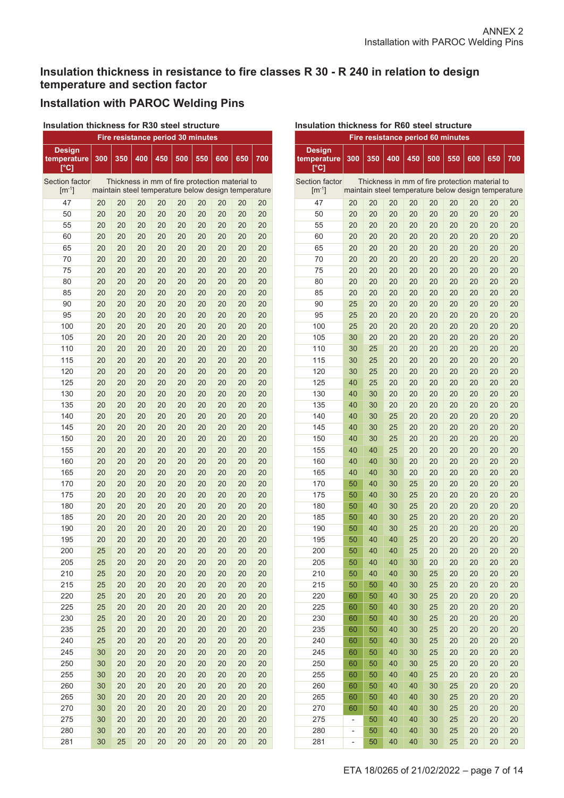# **Insulation thickness in resistance to fire classes R 30 - R 240 in relation to design temperature and section factor**

# **Installation with PAROC Welding Pins**

#### **Insulation thickness for R30 steel structure**

| Fire resistance period 30 minutes                          |     |     |     |                                                     |     |     |     |     |     |
|------------------------------------------------------------|-----|-----|-----|-----------------------------------------------------|-----|-----|-----|-----|-----|
| <b>Design</b><br>temperature<br>$\mathop{\rm [^{\circ}C]}$ | 300 | 350 | 400 | 450                                                 | 500 | 550 | 600 | 650 | 700 |
| <b>Section factor</b>                                      |     |     |     | Thickness in mm of fire protection material to      |     |     |     |     |     |
| $\lceil m^{-1} \rceil$                                     |     |     |     | maintain steel temperature below design temperature |     |     |     |     |     |
| 47                                                         | 20  | 20  | 20  | 20                                                  | 20  | 20  | 20  | 20  | 20  |
| 50                                                         | 20  | 20  | 20  | 20                                                  | 20  | 20  | 20  | 20  | 20  |
| 55                                                         | 20  | 20  | 20  | 20                                                  | 20  | 20  | 20  | 20  | 20  |
| 60                                                         | 20  | 20  | 20  | 20                                                  | 20  | 20  | 20  | 20  | 20  |
| 65                                                         | 20  | 20  | 20  | 20                                                  | 20  | 20  | 20  | 20  | 20  |
| 70                                                         | 20  | 20  | 20  | 20                                                  | 20  | 20  | 20  | 20  | 20  |
| 75                                                         | 20  | 20  | 20  | 20                                                  | 20  | 20  | 20  | 20  | 20  |
| 80                                                         | 20  | 20  | 20  | 20                                                  | 20  | 20  | 20  | 20  | 20  |
| 85                                                         | 20  | 20  | 20  | 20                                                  | 20  | 20  | 20  | 20  | 20  |
| 90                                                         | 20  | 20  | 20  | 20                                                  | 20  | 20  | 20  | 20  | 20  |
| 95                                                         | 20  | 20  | 20  | 20                                                  | 20  | 20  | 20  | 20  | 20  |
| 100                                                        | 20  | 20  | 20  | 20                                                  | 20  | 20  | 20  | 20  | 20  |
| 105                                                        | 20  | 20  | 20  | 20                                                  | 20  | 20  | 20  | 20  | 20  |
| 110                                                        | 20  | 20  | 20  | 20                                                  | 20  | 20  | 20  | 20  | 20  |
| 115                                                        | 20  | 20  | 20  | 20                                                  | 20  | 20  | 20  | 20  | 20  |
| 120                                                        | 20  | 20  | 20  | 20                                                  | 20  | 20  | 20  | 20  | 20  |
| 125                                                        | 20  | 20  | 20  | 20                                                  | 20  | 20  | 20  | 20  | 20  |
| 130                                                        | 20  | 20  | 20  | 20                                                  | 20  | 20  | 20  | 20  | 20  |
| 135                                                        | 20  | 20  | 20  | 20                                                  | 20  | 20  | 20  | 20  | 20  |
| 140                                                        | 20  | 20  | 20  | 20                                                  | 20  | 20  | 20  | 20  | 20  |
| 145                                                        | 20  | 20  | 20  | 20                                                  | 20  | 20  | 20  | 20  | 20  |
| 150                                                        | 20  | 20  | 20  | 20                                                  | 20  | 20  | 20  | 20  | 20  |
| 155                                                        | 20  | 20  | 20  | 20                                                  | 20  | 20  | 20  | 20  | 20  |
| 160                                                        | 20  | 20  | 20  | 20                                                  | 20  | 20  | 20  | 20  | 20  |
| 165                                                        | 20  | 20  | 20  | 20                                                  | 20  | 20  | 20  | 20  | 20  |
| 170                                                        | 20  | 20  | 20  | 20                                                  | 20  | 20  | 20  | 20  | 20  |
| 175                                                        | 20  | 20  | 20  | 20                                                  | 20  | 20  | 20  | 20  | 20  |
| 180                                                        | 20  | 20  | 20  | 20                                                  | 20  | 20  | 20  | 20  | 20  |
| 185                                                        | 20  | 20  | 20  | 20                                                  | 20  | 20  | 20  | 20  | 20  |
| 190                                                        | 20  | 20  | 20  | 20                                                  | 20  | 20  | 20  | 20  | 20  |
| 195                                                        | 20  | 20  | 20  | 20                                                  | 20  | 20  | 20  | 20  | 20  |
| 200                                                        | 25  | 20  | 20  | 20                                                  | 20  | 20  | 20  | 20  | 20  |
| 205                                                        | 25  | 20  | 20  | 20                                                  | 20  | 20  | 20  | 20  | 20  |
| 210                                                        | 25  | 20  | 20  | 20                                                  | 20  | 20  | 20  | 20  | 20  |
| 215                                                        | 25  | 20  | 20  | 20                                                  | 20  | 20  | 20  | 20  | 20  |
| 220                                                        | 25  | 20  | 20  | 20                                                  | 20  | 20  | 20  | 20  | 20  |
| 225                                                        | 25  | 20  | 20  | 20                                                  | 20  | 20  | 20  | 20  | 20  |
| 230                                                        | 25  | 20  | 20  | 20                                                  | 20  | 20  | 20  | 20  | 20  |
| 235                                                        | 25  | 20  | 20  | 20                                                  | 20  | 20  | 20  | 20  | 20  |
| 240                                                        | 25  | 20  | 20  | 20                                                  | 20  | 20  | 20  | 20  | 20  |
| 245                                                        | 30  | 20  | 20  | 20                                                  | 20  | 20  | 20  | 20  | 20  |
| 250                                                        | 30  | 20  | 20  | 20                                                  | 20  | 20  | 20  | 20  | 20  |
| 255                                                        | 30  | 20  | 20  | 20                                                  | 20  | 20  | 20  | 20  | 20  |
| 260                                                        | 30  | 20  | 20  | 20                                                  | 20  | 20  | 20  | 20  | 20  |
| 265                                                        | 30  | 20  | 20  | 20                                                  | 20  | 20  | 20  | 20  | 20  |
| 270                                                        | 30  | 20  | 20  | 20                                                  | 20  | 20  | 20  | 20  | 20  |
| 275                                                        | 30  | 20  | 20  | 20                                                  | 20  | 20  | 20  | 20  | 20  |
| 280                                                        | 30  | 20  | 20  | 20                                                  | 20  | 20  | 20  | 20  | 20  |
| 281                                                        | 30  | 25  | 20  | 20                                                  | 20  | 20  | 20  | 20  | 20  |

#### **Fire resistance period 60 minutes Design temperature [°C] 300 350 400 450 500 550 600 650 700**  Section factor  $[m^{-1}]$ Thickness in mm of fire protection material to maintain steel temperature below design temperature 47 20 20 20 20 20 20 20 20 20 50 20 20 20 20 20 20 20 20 20 55 20 20 20 20 20 20 20 20 20 60 20 20 20 20 20 20 20 20 20 65 20 20 20 20 20 20 20 20 20 70 20 20 20 20 20 20 20 20 20 75 20 20 20 20 20 20 20 20 20 80 20 20 20 20 20 20 20 20 20 85 20 20 20 20 20 20 20 20 20 90 25 20 20 20 20 20 20 20 20 95 25 20 20 20 20 20 20 20 20 100 25 20 20 20 20 20 20 20 20 105 30 20 20 20 20 20 20 20 20 110 30 25 20 20 20 20 20 20 20 115 30 25 20 20 20 20 20 20 20 120 30 25 20 20 20 20 20 20 20 125 40 25 20 20 20 20 20 20 20 130 40 30 20 20 20 20 20 20 20 135 40 30 20 20 20 20 20 20 20 140 40 30 25 20 20 20 20 20 20 145 40 30 25 20 20 20 20 20 20 150 40 30 25 20 20 20 20 20 20 155 40 40 25 20 20 20 20 20 20 160 40 40 30 20 20 20 20 20 20 165 40 40 30 20 20 20 20 20 20 170 50 40 30 25 20 20 20 20 20 175 50 40 30 25 20 20 20 20 20 180 50 40 30 25 20 20 20 20 20 185 50 40 30 25 20 20 20 20 20 190 50 40 30 25 20 20 20 20 20 195 50 40 40 25 20 20 20 20 20 200 50 40 40 25 20 20 20 20 20 205 50 40 40 30 20 20 20 20 20 210 50 40 40 30 25 20 20 20 20 215 50 50 40 30 25 20 20 20 20 220 60 50 40 30 25 20 20 20 20 225 60 50 40 30 25 20 20 20 20 230 60 50 40 30 25 20 20 20 20 235 60 50 40 30 25 20 20 20 20 240 60 50 40 30 25 20 20 20 20 245 60 50 40 30 25 20 20 20 20 250 60 50 40 30 25 20 20 20 20 255 60 50 40 40 25 20 20 20 20 260 60 50 40 40 30 25 20 20 20 265 60 50 40 40 30 25 20 20 20 270 60 50 40 40 30 25 20 20 20 275 - 50 40 40 30 25 20 20 20 280 - 50 40 40 30 25 20 20 20

#### **Insulation thickness for R60 steel structure**

281 - 50 40 40 30 25 20 20 20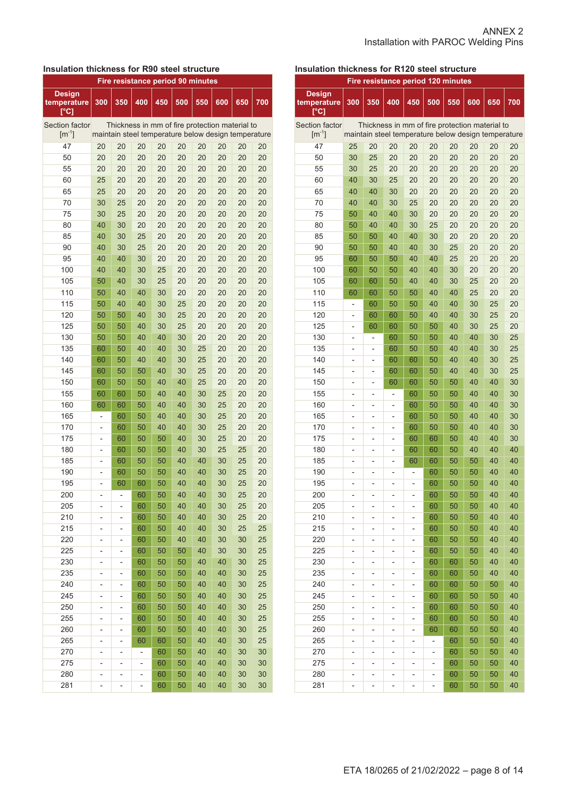# **Insulation thickness for R90 steel structure**

| <b>Fire resistance period 90 minutes</b> |                |                          |     |                                                     |     |     |     |     |     |
|------------------------------------------|----------------|--------------------------|-----|-----------------------------------------------------|-----|-----|-----|-----|-----|
| <b>Design</b><br>temperature<br>[°C]     | 300            | 350                      | 400 | 450                                                 | 500 | 550 | 600 | 650 | 700 |
| <b>Section factor</b>                    |                |                          |     | Thickness in mm of fire protection material to      |     |     |     |     |     |
| $[m^{-1}]$                               |                |                          |     | maintain steel temperature below design temperature |     |     |     |     |     |
| 47                                       | 20             | 20                       | 20  | 20                                                  | 20  | 20  | 20  | 20  | 20  |
| 50                                       | 20             | 20                       | 20  | 20                                                  | 20  | 20  | 20  | 20  | 20  |
| 55                                       | 20             | 20                       | 20  | 20                                                  | 20  | 20  | 20  | 20  | 20  |
| 60                                       | 25             | 20                       | 20  | 20                                                  | 20  | 20  | 20  | 20  | 20  |
| 65                                       | 25             | 20                       | 20  | 20                                                  | 20  | 20  | 20  | 20  | 20  |
| 70                                       | 30             | 25                       | 20  | 20                                                  | 20  | 20  | 20  | 20  | 20  |
| 75                                       | 30             | 25                       | 20  | 20                                                  | 20  | 20  | 20  | 20  | 20  |
| 80                                       | 40             | 30                       | 20  | 20                                                  | 20  | 20  | 20  | 20  | 20  |
| 85                                       | 40             | 30                       | 25  | 20                                                  | 20  | 20  | 20  | 20  | 20  |
| 90                                       | 40             | 30                       | 25  | 20                                                  | 20  | 20  | 20  | 20  | 20  |
| 95                                       | 40             | 40                       | 30  | 20                                                  | 20  | 20  | 20  | 20  | 20  |
| 100                                      | 40             | 40                       | 30  | 25                                                  | 20  | 20  | 20  | 20  | 20  |
| 105                                      | 50             | 40                       | 30  | 25                                                  | 20  | 20  | 20  | 20  | 20  |
| 110                                      | 50             | 40                       | 40  | 30                                                  | 20  | 20  | 20  | 20  | 20  |
| 115                                      | 50             | 40                       | 40  | 30                                                  | 25  | 20  | 20  | 20  | 20  |
| 120                                      | 50             | 50                       | 40  | 30                                                  | 25  | 20  | 20  | 20  | 20  |
| 125                                      | 50             | 50                       | 40  | 30                                                  | 25  | 20  | 20  | 20  | 20  |
| 130                                      | 50             | 50                       | 40  | 40                                                  | 30  | 20  | 20  | 20  | 20  |
| 135                                      | 60             | 50                       | 40  | 40                                                  | 30  | 25  | 20  | 20  | 20  |
| 140                                      | 60             | 50                       | 40  | 40                                                  | 30  | 25  | 20  | 20  | 20  |
| 145                                      | 60             | 50                       | 50  | 40                                                  | 30  | 25  | 20  | 20  | 20  |
| 150                                      | 60             | 50                       | 50  | 40                                                  | 40  | 25  | 20  | 20  | 20  |
| 155                                      | 60             | 60                       | 50  | 40                                                  | 40  | 30  | 25  | 20  | 20  |
| 160                                      | 60             | 60                       | 50  | 40                                                  | 40  | 30  | 25  | 20  | 20  |
| 165                                      | $\overline{a}$ | 60                       | 50  | 40                                                  | 40  | 30  | 25  | 20  | 20  |
| 170                                      | $\overline{a}$ | 60                       | 50  | 40                                                  | 40  | 30  | 25  | 20  | 20  |
| 175                                      | $\overline{a}$ | 60                       | 50  | 50                                                  | 40  | 30  | 25  | 20  | 20  |
| 180                                      | $\overline{a}$ | 60                       | 50  | 50                                                  | 40  | 30  | 25  | 25  | 20  |
| 185                                      | L,             | 60                       | 50  | 50                                                  | 40  | 40  | 30  | 25  | 20  |
| 190                                      | L,             | 60                       | 50  | 50                                                  | 40  | 40  | 30  | 25  | 20  |
| 195                                      | L,             | 60                       | 60  | 50                                                  | 40  | 40  | 30  | 25  | 20  |
| 200                                      | ÷,             | $\overline{a}$           | 60  | 50                                                  | 40  | 40  | 30  | 25  | 20  |
| 205                                      | -              | $\overline{\phantom{0}}$ | 60  | 50                                                  | 40  | 40  | 30  | 25  | 20  |
| 210                                      | -              | $\overline{a}$           | 60  | 50                                                  | 40  | 40  | 30  | 25  | 20  |
| 215                                      | -              | -                        | 60  | 50                                                  | 40  | 40  | 30  | 25  | 25  |
| 220                                      | l,             | $\overline{a}$           | 60  | 50                                                  | 40  | 40  | 30  | 30  | 25  |
| 225                                      | -              | -                        | 60  | 50                                                  | 50  | 40  | 30  | 30  | 25  |
| 230                                      | -              | -                        | 60  | 50                                                  | 50  | 40  | 40  | 30  | 25  |
| 235                                      | -              | -                        | 60  | 50                                                  | 50  | 40  | 40  | 30  | 25  |
| 240                                      | -              | $\overline{\phantom{0}}$ | 60  | 50                                                  | 50  | 40  | 40  | 30  | 25  |
| 245                                      | -              | -                        | 60  | 50                                                  | 50  | 40  | 40  | 30  | 25  |
| 250                                      | -              | -                        | 60  | 50                                                  | 50  | 40  | 40  | 30  | 25  |
| 255                                      | -              | -                        | 60  | 50                                                  | 50  | 40  | 40  | 30  | 25  |
| 260                                      | -              | -                        | 60  | 50                                                  | 50  | 40  | 40  | 30  | 25  |
| 265                                      | -              | -                        | 60  | 60                                                  | 50  | 40  | 40  | 30  | 25  |
| 270                                      | -              | -                        | -   | 60                                                  | 50  | 40  | 40  | 30  | 30  |
| 275                                      | -              | -                        | -   | 60                                                  | 50  | 40  | 40  | 30  | 30  |
| 280                                      | -              | -                        | -   | 60                                                  | 50  | 40  | 40  | 30  | 30  |
| 281                                      | -              | $\overline{a}$           | -   | 60                                                  | 50  | 40  | 40  | 30  | 30  |

# **Insulation thickness for R120 steel structure**

| Fire resistance period 120 minutes   |                          |                          |                |                          |          |          |                                                     |     |     |
|--------------------------------------|--------------------------|--------------------------|----------------|--------------------------|----------|----------|-----------------------------------------------------|-----|-----|
| <b>Design</b><br>temperature<br>r°C] | 300                      | 350                      | 400            | 450                      | 500      | 550      | 600                                                 | 650 | 700 |
| Section factor                       |                          |                          |                |                          |          |          | Thickness in mm of fire protection material to      |     |     |
| $[m^{-1}]$                           |                          |                          |                |                          |          |          | maintain steel temperature below design temperature |     |     |
| 47                                   | 25                       | 20                       | 20             | 20                       | 20       | 20       | 20                                                  | 20  | 20  |
| 50                                   | 30                       | 25                       | 20             | 20                       | 20       | 20       | 20                                                  | 20  | 20  |
| 55                                   | 30                       | 25                       | 20             | 20                       | 20       | 20       | 20                                                  | 20  | 20  |
| 60                                   | 40                       | 30                       | 25             | 20                       | 20       | 20       | 20                                                  | 20  | 20  |
| 65                                   | 40                       | 40                       | 30             | 20                       | 20       | 20       | 20                                                  | 20  | 20  |
| 70                                   | 40                       | 40                       | 30             | 25                       | 20       | 20       | 20                                                  | 20  | 20  |
| 75                                   | 50                       | 40                       | 40             | 30                       | 20       | 20       | 20                                                  | 20  | 20  |
| 80                                   | 50                       | 40                       | 40             | 30                       | 25       | 20       | 20                                                  | 20  | 20  |
| 85                                   | 50                       | 50                       | 40             | 40                       | 30       | 20       | 20                                                  | 20  | 20  |
| 90                                   | 50                       | 50                       | 40             | 40                       | 30       | 25       | 20                                                  | 20  | 20  |
| 95                                   | 60                       | 50                       | 50             | 40                       | 40       | 25       | 20                                                  | 20  | 20  |
| 100                                  | 60                       | 50                       | 50             | 40                       | 40       | 30       | 20                                                  | 20  | 20  |
| 105                                  | 60                       | 60                       | 50             | 40                       | 40       | 30       | 25                                                  | 20  | 20  |
| 110                                  | 60                       | 60                       | 50             | 50                       | 40       | 40       | 25                                                  | 20  | 20  |
| 115                                  | $\overline{\phantom{0}}$ | 60                       | 50             | 50                       | 40       | 40       | 30                                                  | 25  | 20  |
| 120                                  | -                        | 60                       | 60             | 50                       | 40       | 40       | 30                                                  | 25  | 20  |
| 125                                  | -                        | 60                       | 60             | 50                       | 50       | 40       | 30                                                  | 25  | 20  |
| 130                                  | -                        | $\overline{a}$           | 60             | 50                       | 50       | 40       | 40                                                  | 30  | 25  |
| 135                                  | -                        | -                        | 60             | 50                       | 50       | 40       | 40                                                  | 30  | 25  |
| 140                                  | -                        | -                        | 60             | 60                       | 50       | 40       | 40                                                  | 30  | 25  |
| 145                                  | -                        | -                        | 60             | 60                       | 50       | 40       | 40                                                  | 30  | 25  |
| 150                                  | -                        | -                        | 60             | 60                       | 50       | 50       | 40                                                  | 40  | 30  |
| 155                                  | -                        | -                        | $\overline{a}$ | 60                       | 50       | 50       | 40                                                  | 40  | 30  |
| 160                                  | -                        | $\overline{a}$           | -              | 60                       | 50       | 50       | 40                                                  | 40  | 30  |
| 165                                  | -                        | -                        | $\overline{a}$ | 60                       | 50       | 50       | 40                                                  | 40  | 30  |
| 170                                  | $\overline{a}$           | $\overline{\phantom{a}}$ | L,             | 60                       | 50       | 50       | 40                                                  | 40  | 30  |
| 175                                  | -                        | $\overline{a}$           | $\overline{a}$ | 60                       | 60       | 50       | 40                                                  | 40  | 30  |
| 180                                  | $\overline{\phantom{0}}$ | $\overline{a}$           | L,             | 60                       | 60       | 50       | 40                                                  | 40  | 40  |
| 185                                  | $\overline{a}$           | $\overline{a}$           | L,             | 60                       | 60       | 50       | 50                                                  | 40  | 40  |
| 190                                  | $\overline{\phantom{0}}$ | $\overline{a}$           | $\overline{a}$ | $\overline{a}$           | 60       | 50       | 50                                                  | 40  | 40  |
| 195                                  | $\overline{a}$           | -                        | $\overline{a}$ | L,                       | 60       | 50       | 50                                                  | 40  | 40  |
| 200                                  | -                        | -                        | $\overline{a}$ | L,                       | 60       | 50       | 50                                                  | 40  | 40  |
| 205                                  | -                        |                          |                | -                        | 60       | 50       | 50                                                  | 40  | 40  |
| 210                                  |                          | -                        |                |                          |          | 50       | 50                                                  | 40  | 40  |
| 215                                  | -                        | -                        |                | -                        | 60<br>60 | 50       | 50                                                  | 40  | 40  |
| 220                                  | -                        | -                        | -              | $\overline{\phantom{0}}$ | 60       |          | 50                                                  | 40  | 40  |
| 225                                  | -                        | -                        | -              | -                        | 60       | 50<br>50 | 50                                                  | 40  | 40  |
| 230                                  | -                        | -                        | $\overline{a}$ | -                        | 60       | 60       | 50                                                  | 40  | 40  |
| 235                                  | -                        | $\overline{a}$           |                | $\overline{\phantom{0}}$ | 60       |          | 50                                                  | 40  | 40  |
| 240                                  | -                        | -                        |                | $\overline{\phantom{0}}$ |          | 60       |                                                     |     |     |
|                                      | -                        | -                        |                | $\overline{\phantom{0}}$ | 60       | 60       | 50                                                  | 50  | 40  |
| 245                                  | -                        | -                        |                | -                        | 60       | 60       | 50                                                  | 50  | 40  |
| 250                                  | -                        | -                        |                | -                        | 60       | 60       | 50                                                  | 50  | 40  |
| 255                                  | -                        | -                        |                | -                        | 60       | 60       | 50                                                  | 50  | 40  |
| 260                                  | -                        | -                        |                | -                        | 60       | 60       | 50                                                  | 50  | 40  |
| 265                                  | -                        | -                        | -              | -                        | -        | 60       | 50                                                  | 50  | 40  |
| 270                                  | -                        | -                        | -              | -                        |          | 60       | 50                                                  | 50  | 40  |
| 275                                  | -                        | $\overline{a}$           | $\overline{a}$ | -                        | -        | 60       | 50                                                  | 50  | 40  |
| 280                                  | -                        | -                        | $\overline{a}$ | -                        | -        | 60       | 50                                                  | 50  | 40  |
| 281                                  |                          |                          | $\overline{a}$ | $\overline{\phantom{0}}$ | -        | 60       | 50                                                  | 50  | 40  |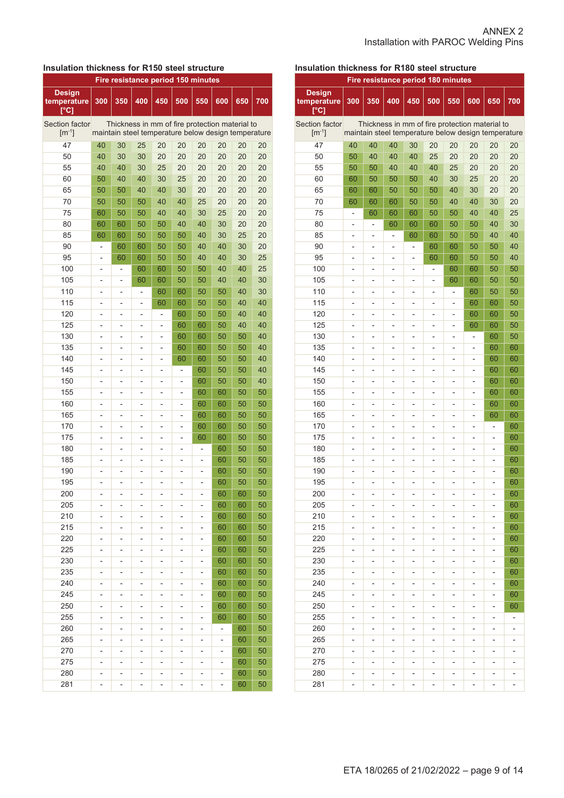# **Insulation thickness for R150 steel structure**

| Fire resistance period 150 minutes   |                |                          |                          |                                                     |                |                              |                |          |          |
|--------------------------------------|----------------|--------------------------|--------------------------|-----------------------------------------------------|----------------|------------------------------|----------------|----------|----------|
| <b>Design</b><br>temperature<br>r°C] | 300            | 350                      | 400                      | 450                                                 | 500            | 550                          | 600            | 650      | 700      |
| Section factor                       |                |                          |                          | Thickness in mm of fire protection material to      |                |                              |                |          |          |
| $[m^{-1}]$                           |                |                          |                          | maintain steel temperature below design temperature |                |                              |                |          |          |
| 47                                   | 40             | 30                       | 25                       | 20                                                  | 20             | 20                           | 20             | 20       | 20       |
| 50                                   | 40             | 30                       | 30                       | 20                                                  | 20             | 20                           | 20             | 20       | 20       |
| 55                                   | 40             | 40                       | 30                       | 25                                                  | 20             | 20                           | 20             | 20       | 20       |
| 60                                   | 50             | 40                       | 40                       | 30                                                  | 25             | 20                           | 20             | 20       | 20       |
| 65                                   | 50             | 50                       | 40                       | 40                                                  | 30             | 20                           | 20             | 20       | 20       |
| 70                                   | 50             | 50                       | 50                       | 40                                                  | 40             | 25                           | 20             | 20       | 20       |
| 75                                   | 60             | 50                       | 50                       | 40                                                  | 40             | 30                           | 25             | 20       | 20       |
| 80                                   | 60             | 60                       | 50                       | 50                                                  | 40             | 40                           | 30             | 20       | 20       |
| 85                                   | 60             | 60                       | 50                       | 50                                                  | 50             | 40                           | 30             | 25       | 20       |
| 90                                   | $\overline{a}$ | 60                       | 60                       | 50                                                  | 50             | 40                           | 40             | 30       | 20       |
| 95                                   | $\overline{a}$ | 60                       | 60                       | 50                                                  | 50             | 40                           | 40             | 30       | 25       |
| 100                                  | $\overline{a}$ | -                        | 60                       | 60                                                  | 50             | 50                           | 40             | 40       | 25       |
| 105                                  | $\overline{a}$ | $\overline{a}$           | 60                       | 60                                                  | 50             | 50                           | 40             | 40       | 30       |
| 110                                  | -              | $\overline{a}$           | -                        | 60                                                  | 60             | 50                           | 50             | 40       | 30       |
| 115                                  | -              | $\overline{a}$           | -                        | 60                                                  | 60             | 50                           | 50             | 40       | 40       |
| 120                                  | L,             | L,                       | $\overline{a}$           | $\overline{a}$                                      | 60             | 50                           | 50             | 40       | 40       |
| 125                                  | -              | $\overline{a}$           | -                        | $\overline{a}$                                      | 60             | 60                           | 50             | 40       | 40       |
| 130                                  | -              | L,                       | $\overline{a}$           | L,                                                  | 60             | 60                           | 50             | 50       | 40       |
| 135                                  | -              | L,                       | $\overline{a}$           | L,                                                  | 60             | 60                           | 50             | 50       | 40       |
| 140                                  | -              | L,                       | $\overline{a}$           | L,                                                  | 60             | 60                           | 50             | 50       | 40       |
| 145                                  | -              | L,                       | $\overline{a}$           | -                                                   | ÷,             | 60                           | 50             | 50       | 40       |
| 150                                  | -              | L,                       | $\overline{a}$           | -                                                   | -              | 60                           | 50             | 50       | 40       |
| 155                                  | -              | $\overline{a}$           | -                        | $\overline{a}$                                      | L,             | 60                           | 60             | 50       | 50       |
| 160                                  | L,             | L,                       | -                        | $\overline{a}$                                      | L,             | 60                           | 60             | 50       | 50       |
| 165                                  | L,             | $\overline{a}$           | $\overline{a}$           | $\overline{a}$                                      | L,             | 60                           | 60             | 50       | 50       |
| 170                                  | L,             | $\overline{a}$           | $\overline{a}$           | $\overline{a}$                                      | L,             | 60                           | 60             | 50       | 50       |
| 175                                  | L,             | L,                       | $\overline{a}$           | $\overline{a}$                                      | L,             | 60                           | 60             | 50       | 50       |
| 180                                  | L,             | L,                       | L,                       | $\overline{a}$                                      | L,             | ÷                            | 60             | 50       | 50       |
| 185                                  | L,             | L,                       | $\overline{a}$           | $\overline{a}$                                      | L,             |                              | 60             | 50       | 50       |
| 190                                  | L,             | $\overline{a}$           | $\overline{a}$           |                                                     | L,             |                              | 60             | 50       | 50       |
| 195                                  | $\overline{a}$ |                          | -                        |                                                     | $\overline{a}$ |                              | 60             | 50       | 50       |
| 200                                  |                |                          |                          |                                                     |                |                              | 60             | 60       | 50       |
| 205                                  |                |                          |                          |                                                     |                |                              | 60             | 60       | 50       |
| 210                                  |                |                          |                          |                                                     |                |                              | 60             | 60       | 50       |
| 215                                  | $\overline{a}$ | -                        | -                        |                                                     | -              | -                            | 60             | 60       | 50       |
| 220                                  | $\overline{a}$ | $\overline{a}$           | $\overline{a}$           | $\overline{a}$                                      | $\overline{a}$ | -                            | 60             | 60       | 50       |
| 225                                  | $\overline{a}$ | $\overline{a}$           | -                        | $\overline{a}$                                      | $\overline{a}$ | -                            | 60             | 60       | 50       |
| 230                                  | -              | $\overline{\phantom{0}}$ | $\overline{a}$           | -                                                   | -              | $\overline{\phantom{0}}$     | 60             | 60       | 50       |
| 235                                  | -              | -                        | $\overline{a}$           | -                                                   | -              | $\overline{\phantom{0}}$     | 60             | 60       | 50       |
| 240                                  | -              | -                        | $\overline{a}$           | -                                                   | -              | $\overline{\phantom{0}}$     | 60             | 60       | 50       |
| 245                                  | -              | $\overline{\phantom{0}}$ | $\overline{a}$           | -                                                   | -              | $\overline{\phantom{0}}$     | 60             | 60       | 50       |
| 250                                  |                | -                        |                          | -                                                   |                |                              | 60             | 60       | 50       |
| 255                                  | $\overline{a}$ |                          | -                        |                                                     | $\overline{a}$ | -                            |                |          | 50       |
| 260                                  | -              | -                        | -                        | -                                                   | $\overline{a}$ | $\overline{\phantom{0}}$     | 60             | 60<br>60 | 50       |
|                                      | -              | $\overline{a}$           | -                        | -                                                   | -              | $\overline{\phantom{0}}$     | -              |          |          |
| 265                                  | -              | $\overline{a}$           | -                        | -                                                   | -              | $\overline{\phantom{0}}$     | -              | 60       | 50       |
| 270                                  | -              | $\overline{a}$           | -                        | -                                                   | -              | $\overline{\phantom{0}}$     | -              | 60       | 50       |
| 275                                  | $\overline{a}$ | $\overline{a}$           | $\overline{a}$           | $\overline{a}$                                      | $\overline{a}$ | $\qquad \qquad \blacksquare$ | $\overline{a}$ | 60       | 50       |
| 280<br>281                           | $\overline{a}$ | $\overline{a}$           | $\overline{a}$           |                                                     | $\overline{a}$ | $\overline{a}$               | $\overline{a}$ | 60<br>60 | 50<br>50 |
|                                      | $\overline{a}$ | $\overline{\phantom{0}}$ | $\overline{\phantom{0}}$ | $\overline{a}$                                      | $\overline{a}$ | $\overline{\phantom{0}}$     | $\overline{a}$ |          |          |

# **Insulation thickness for R180 steel structure**

| <b>Design</b><br>300<br>350<br>400<br>450<br>500<br>550<br>600<br>650<br>700<br>temperature<br>[°C]<br>Section factor<br>Thickness in mm of fire protection material to<br>$[m^{-1}]$<br>maintain steel temperature below design temperature<br>47<br>40<br>40<br>40<br>30<br>20<br>20<br>20<br>20<br>20<br>50<br>40<br>25<br>20<br>20<br>20<br>20<br>50<br>40<br>40<br>55<br>40<br>25<br>50<br>50<br>40<br>40<br>20<br>20<br>20<br>60<br>40<br>30<br>20<br>60<br>50<br>50<br>50<br>25<br>20<br>65<br>60<br>50<br>40<br>20<br>60<br>50<br>50<br>30<br>20<br>70<br>50<br>40<br>40<br>20<br>60<br>60<br>60<br>50<br>30<br>75<br>50<br>40<br>40<br>25<br>60<br>60<br>50<br>60<br>$\overline{\phantom{0}}$<br>80<br>60<br>40<br>30<br>60<br>60<br>50<br>50<br>$\overline{a}$<br>L,<br>40<br>85<br>60<br>60<br>50<br>40<br>50<br>-<br>$\overline{a}$<br>-<br>40<br>90<br>60<br>60<br>50<br>50<br>-<br>-<br>40<br>95<br>60<br>60<br>50<br>50<br>$\overline{a}$<br>$\overline{a}$<br>-<br>100<br>50<br>60<br>60<br>50<br>$\overline{a}$<br>$\overline{a}$<br>$\overline{a}$<br>$\overline{a}$<br>$\overline{a}$<br>105<br>50<br>60<br>60<br>50<br>-<br>$\overline{a}$<br>-<br>$\overline{\phantom{0}}$<br>-<br>110<br>50<br>60<br>50<br>$\overline{a}$<br>-<br>-<br>-<br>-<br>-<br>50<br>115<br>60<br>60<br>$\overline{a}$<br>$\overline{a}$<br>-<br>-<br>$\overline{a}$<br>$\overline{a}$<br>120<br>50<br>60<br>60<br>$\overline{a}$<br>$\overline{a}$<br>-<br>$\overline{a}$<br>$\overline{a}$<br>$\overline{a}$<br>125<br>50<br>60<br>60<br>$\overline{\phantom{0}}$<br>$\overline{a}$<br>$\overline{a}$<br>$\overline{a}$<br>$\overline{a}$<br>$\overline{a}$<br>130<br>50<br>60<br>$\overline{a}$<br>$\overline{a}$<br>-<br>$\overline{a}$<br>$\overline{a}$<br>$\overline{a}$<br>$\overline{\phantom{a}}$<br>135<br>60<br>60<br>$\overline{a}$<br>$\overline{a}$<br>$\overline{a}$<br>-<br>$\overline{a}$<br>$\overline{a}$<br>$\blacksquare$<br>140<br>60<br>60<br>L,<br>-<br>$\overline{a}$<br>L,<br>$\overline{a}$<br>÷<br>$\overline{a}$<br>145<br>60<br>60<br>$\overline{a}$<br>$\overline{a}$<br>-<br>L,<br>-<br>-<br>$\overline{a}$<br>150<br>60<br>60<br>$\overline{a}$<br>$\overline{a}$<br>-<br>L,<br>-<br>-<br>$\overline{a}$<br>155<br>60<br>60<br>$\overline{a}$<br>-<br>-<br>-<br>-<br>-<br>-<br>160<br>60<br>60<br>-<br>-<br>-<br>-<br>-<br>-<br>165<br>60<br>60<br>-<br>-<br>-<br>-<br>-<br>-<br>170<br>60<br>$\overline{a}$<br>-<br>$\overline{a}$<br>-<br>$\overline{a}$<br>$\overline{a}$<br>$\overline{a}$<br>$\overline{a}$<br>175<br>60<br>-<br>-<br>-<br>-<br>-<br>$\overline{a}$<br>-<br>$\overline{\phantom{a}}$<br>180<br>60<br>-<br>-<br>-<br>-<br>-<br>$\overline{a}$<br>-<br>$\overline{a}$<br>185<br>60<br>$\overline{a}$<br>$\overline{a}$<br>-<br>÷<br>$\overline{a}$<br>$\overline{a}$<br>$\overline{a}$<br>$\overline{a}$<br>190<br>60<br>$\overline{a}$<br>$\overline{a}$<br>$\overline{a}$<br>L,<br>$\overline{a}$<br>-<br>÷<br>$\overline{a}$<br>195<br>60<br>$\overline{a}$<br>$\overline{a}$<br>-<br>-<br>$\overline{a}$<br>$\overline{a}$<br>200<br>60<br>L,<br>$\overline{a}$<br>$\overline{a}$<br>$\overline{a}$<br>L,<br>$\overline{a}$<br>205<br>60<br>÷<br>L,<br>$\overline{a}$<br>$\overline{a}$<br>210<br>60<br>-<br>-<br>-<br>-<br>$\overline{a}$<br>215<br>60<br>-<br>-<br>-<br>-<br>-<br>$\overline{a}$<br>220<br>60<br>$\overline{a}$<br>$\overline{a}$<br>-<br>-<br>$\overline{\phantom{a}}$<br>$\overline{a}$<br>$\overline{a}$<br>$\overline{a}$<br>225<br>60<br>$\overline{a}$<br>$\overline{a}$<br>$\overline{a}$<br>$\overline{a}$<br>-<br>$\overline{a}$<br>$\overline{a}$<br>$\overline{a}$<br>230<br>60<br>-<br>-<br>-<br>-<br>-<br>-<br>-<br>$\overline{a}$<br>235<br>60<br>-<br>$\overline{a}$<br>$\overline{a}$<br>-<br>$\blacksquare$<br>$\overline{a}$<br>$\overline{\phantom{0}}$<br>$\overline{a}$<br>240<br>60<br>÷<br>$\overline{a}$<br>$\overline{a}$<br>-<br>$\blacksquare$<br>$\overline{a}$<br>$\overline{\phantom{0}}$<br>$\overline{a}$<br>245<br>60<br>$\overline{\phantom{0}}$<br>-<br>$\overline{a}$<br>$\overline{a}$<br>-<br>$\overline{a}$<br>$\overline{a}$<br>$\overline{a}$<br>250<br>60<br>$\overline{\phantom{0}}$<br>-<br>-<br>-<br>-<br>-<br>-<br>-<br>255<br>-<br>-<br>-<br>$\overline{a}$<br>-<br>-<br>-<br>-<br>-<br>260<br>-<br>265<br>-<br>-<br>- | Fire resistance period 180 minutes |  |  |  |  |  |  |  |  |
|-----------------------------------------------------------------------------------------------------------------------------------------------------------------------------------------------------------------------------------------------------------------------------------------------------------------------------------------------------------------------------------------------------------------------------------------------------------------------------------------------------------------------------------------------------------------------------------------------------------------------------------------------------------------------------------------------------------------------------------------------------------------------------------------------------------------------------------------------------------------------------------------------------------------------------------------------------------------------------------------------------------------------------------------------------------------------------------------------------------------------------------------------------------------------------------------------------------------------------------------------------------------------------------------------------------------------------------------------------------------------------------------------------------------------------------------------------------------------------------------------------------------------------------------------------------------------------------------------------------------------------------------------------------------------------------------------------------------------------------------------------------------------------------------------------------------------------------------------------------------------------------------------------------------------------------------------------------------------------------------------------------------------------------------------------------------------------------------------------------------------------------------------------------------------------------------------------------------------------------------------------------------------------------------------------------------------------------------------------------------------------------------------------------------------------------------------------------------------------------------------------------------------------------------------------------------------------------------------------------------------------------------------------------------------------------------------------------------------------------------------------------------------------------------------------------------------------------------------------------------------------------------------------------------------------------------------------------------------------------------------------------------------------------------------------------------------------------------------------------------------------------------------------------------------------------------------------------------------------------------------------------------------------------------------------------------------------------------------------------------------------------------------------------------------------------------------------------------------------------------------------------------------------------------------------------------------------------------------------------------------------------------------------------------------------------------------------------------------------------------------------------------------------------------------------------------------------------------------------------------------------------------------------------------------------------------------------------------------------------------------------------------------------------------------------------------------------------------------------------------------------------------------------------------------------------------------------------------------------------------------------------------------------------------------------------------------------------------------|------------------------------------|--|--|--|--|--|--|--|--|
|                                                                                                                                                                                                                                                                                                                                                                                                                                                                                                                                                                                                                                                                                                                                                                                                                                                                                                                                                                                                                                                                                                                                                                                                                                                                                                                                                                                                                                                                                                                                                                                                                                                                                                                                                                                                                                                                                                                                                                                                                                                                                                                                                                                                                                                                                                                                                                                                                                                                                                                                                                                                                                                                                                                                                                                                                                                                                                                                                                                                                                                                                                                                                                                                                                                                                                                                                                                                                                                                                                                                                                                                                                                                                                                                                                                                                                                                                                                                                                                                                                                                                                                                                                                                                                                                                                                                               |                                    |  |  |  |  |  |  |  |  |
|                                                                                                                                                                                                                                                                                                                                                                                                                                                                                                                                                                                                                                                                                                                                                                                                                                                                                                                                                                                                                                                                                                                                                                                                                                                                                                                                                                                                                                                                                                                                                                                                                                                                                                                                                                                                                                                                                                                                                                                                                                                                                                                                                                                                                                                                                                                                                                                                                                                                                                                                                                                                                                                                                                                                                                                                                                                                                                                                                                                                                                                                                                                                                                                                                                                                                                                                                                                                                                                                                                                                                                                                                                                                                                                                                                                                                                                                                                                                                                                                                                                                                                                                                                                                                                                                                                                                               |                                    |  |  |  |  |  |  |  |  |
|                                                                                                                                                                                                                                                                                                                                                                                                                                                                                                                                                                                                                                                                                                                                                                                                                                                                                                                                                                                                                                                                                                                                                                                                                                                                                                                                                                                                                                                                                                                                                                                                                                                                                                                                                                                                                                                                                                                                                                                                                                                                                                                                                                                                                                                                                                                                                                                                                                                                                                                                                                                                                                                                                                                                                                                                                                                                                                                                                                                                                                                                                                                                                                                                                                                                                                                                                                                                                                                                                                                                                                                                                                                                                                                                                                                                                                                                                                                                                                                                                                                                                                                                                                                                                                                                                                                                               |                                    |  |  |  |  |  |  |  |  |
|                                                                                                                                                                                                                                                                                                                                                                                                                                                                                                                                                                                                                                                                                                                                                                                                                                                                                                                                                                                                                                                                                                                                                                                                                                                                                                                                                                                                                                                                                                                                                                                                                                                                                                                                                                                                                                                                                                                                                                                                                                                                                                                                                                                                                                                                                                                                                                                                                                                                                                                                                                                                                                                                                                                                                                                                                                                                                                                                                                                                                                                                                                                                                                                                                                                                                                                                                                                                                                                                                                                                                                                                                                                                                                                                                                                                                                                                                                                                                                                                                                                                                                                                                                                                                                                                                                                                               |                                    |  |  |  |  |  |  |  |  |
|                                                                                                                                                                                                                                                                                                                                                                                                                                                                                                                                                                                                                                                                                                                                                                                                                                                                                                                                                                                                                                                                                                                                                                                                                                                                                                                                                                                                                                                                                                                                                                                                                                                                                                                                                                                                                                                                                                                                                                                                                                                                                                                                                                                                                                                                                                                                                                                                                                                                                                                                                                                                                                                                                                                                                                                                                                                                                                                                                                                                                                                                                                                                                                                                                                                                                                                                                                                                                                                                                                                                                                                                                                                                                                                                                                                                                                                                                                                                                                                                                                                                                                                                                                                                                                                                                                                                               |                                    |  |  |  |  |  |  |  |  |
|                                                                                                                                                                                                                                                                                                                                                                                                                                                                                                                                                                                                                                                                                                                                                                                                                                                                                                                                                                                                                                                                                                                                                                                                                                                                                                                                                                                                                                                                                                                                                                                                                                                                                                                                                                                                                                                                                                                                                                                                                                                                                                                                                                                                                                                                                                                                                                                                                                                                                                                                                                                                                                                                                                                                                                                                                                                                                                                                                                                                                                                                                                                                                                                                                                                                                                                                                                                                                                                                                                                                                                                                                                                                                                                                                                                                                                                                                                                                                                                                                                                                                                                                                                                                                                                                                                                                               |                                    |  |  |  |  |  |  |  |  |
|                                                                                                                                                                                                                                                                                                                                                                                                                                                                                                                                                                                                                                                                                                                                                                                                                                                                                                                                                                                                                                                                                                                                                                                                                                                                                                                                                                                                                                                                                                                                                                                                                                                                                                                                                                                                                                                                                                                                                                                                                                                                                                                                                                                                                                                                                                                                                                                                                                                                                                                                                                                                                                                                                                                                                                                                                                                                                                                                                                                                                                                                                                                                                                                                                                                                                                                                                                                                                                                                                                                                                                                                                                                                                                                                                                                                                                                                                                                                                                                                                                                                                                                                                                                                                                                                                                                                               |                                    |  |  |  |  |  |  |  |  |
|                                                                                                                                                                                                                                                                                                                                                                                                                                                                                                                                                                                                                                                                                                                                                                                                                                                                                                                                                                                                                                                                                                                                                                                                                                                                                                                                                                                                                                                                                                                                                                                                                                                                                                                                                                                                                                                                                                                                                                                                                                                                                                                                                                                                                                                                                                                                                                                                                                                                                                                                                                                                                                                                                                                                                                                                                                                                                                                                                                                                                                                                                                                                                                                                                                                                                                                                                                                                                                                                                                                                                                                                                                                                                                                                                                                                                                                                                                                                                                                                                                                                                                                                                                                                                                                                                                                                               |                                    |  |  |  |  |  |  |  |  |
|                                                                                                                                                                                                                                                                                                                                                                                                                                                                                                                                                                                                                                                                                                                                                                                                                                                                                                                                                                                                                                                                                                                                                                                                                                                                                                                                                                                                                                                                                                                                                                                                                                                                                                                                                                                                                                                                                                                                                                                                                                                                                                                                                                                                                                                                                                                                                                                                                                                                                                                                                                                                                                                                                                                                                                                                                                                                                                                                                                                                                                                                                                                                                                                                                                                                                                                                                                                                                                                                                                                                                                                                                                                                                                                                                                                                                                                                                                                                                                                                                                                                                                                                                                                                                                                                                                                                               |                                    |  |  |  |  |  |  |  |  |
|                                                                                                                                                                                                                                                                                                                                                                                                                                                                                                                                                                                                                                                                                                                                                                                                                                                                                                                                                                                                                                                                                                                                                                                                                                                                                                                                                                                                                                                                                                                                                                                                                                                                                                                                                                                                                                                                                                                                                                                                                                                                                                                                                                                                                                                                                                                                                                                                                                                                                                                                                                                                                                                                                                                                                                                                                                                                                                                                                                                                                                                                                                                                                                                                                                                                                                                                                                                                                                                                                                                                                                                                                                                                                                                                                                                                                                                                                                                                                                                                                                                                                                                                                                                                                                                                                                                                               |                                    |  |  |  |  |  |  |  |  |
|                                                                                                                                                                                                                                                                                                                                                                                                                                                                                                                                                                                                                                                                                                                                                                                                                                                                                                                                                                                                                                                                                                                                                                                                                                                                                                                                                                                                                                                                                                                                                                                                                                                                                                                                                                                                                                                                                                                                                                                                                                                                                                                                                                                                                                                                                                                                                                                                                                                                                                                                                                                                                                                                                                                                                                                                                                                                                                                                                                                                                                                                                                                                                                                                                                                                                                                                                                                                                                                                                                                                                                                                                                                                                                                                                                                                                                                                                                                                                                                                                                                                                                                                                                                                                                                                                                                                               |                                    |  |  |  |  |  |  |  |  |
|                                                                                                                                                                                                                                                                                                                                                                                                                                                                                                                                                                                                                                                                                                                                                                                                                                                                                                                                                                                                                                                                                                                                                                                                                                                                                                                                                                                                                                                                                                                                                                                                                                                                                                                                                                                                                                                                                                                                                                                                                                                                                                                                                                                                                                                                                                                                                                                                                                                                                                                                                                                                                                                                                                                                                                                                                                                                                                                                                                                                                                                                                                                                                                                                                                                                                                                                                                                                                                                                                                                                                                                                                                                                                                                                                                                                                                                                                                                                                                                                                                                                                                                                                                                                                                                                                                                                               |                                    |  |  |  |  |  |  |  |  |
|                                                                                                                                                                                                                                                                                                                                                                                                                                                                                                                                                                                                                                                                                                                                                                                                                                                                                                                                                                                                                                                                                                                                                                                                                                                                                                                                                                                                                                                                                                                                                                                                                                                                                                                                                                                                                                                                                                                                                                                                                                                                                                                                                                                                                                                                                                                                                                                                                                                                                                                                                                                                                                                                                                                                                                                                                                                                                                                                                                                                                                                                                                                                                                                                                                                                                                                                                                                                                                                                                                                                                                                                                                                                                                                                                                                                                                                                                                                                                                                                                                                                                                                                                                                                                                                                                                                                               |                                    |  |  |  |  |  |  |  |  |
|                                                                                                                                                                                                                                                                                                                                                                                                                                                                                                                                                                                                                                                                                                                                                                                                                                                                                                                                                                                                                                                                                                                                                                                                                                                                                                                                                                                                                                                                                                                                                                                                                                                                                                                                                                                                                                                                                                                                                                                                                                                                                                                                                                                                                                                                                                                                                                                                                                                                                                                                                                                                                                                                                                                                                                                                                                                                                                                                                                                                                                                                                                                                                                                                                                                                                                                                                                                                                                                                                                                                                                                                                                                                                                                                                                                                                                                                                                                                                                                                                                                                                                                                                                                                                                                                                                                                               |                                    |  |  |  |  |  |  |  |  |
|                                                                                                                                                                                                                                                                                                                                                                                                                                                                                                                                                                                                                                                                                                                                                                                                                                                                                                                                                                                                                                                                                                                                                                                                                                                                                                                                                                                                                                                                                                                                                                                                                                                                                                                                                                                                                                                                                                                                                                                                                                                                                                                                                                                                                                                                                                                                                                                                                                                                                                                                                                                                                                                                                                                                                                                                                                                                                                                                                                                                                                                                                                                                                                                                                                                                                                                                                                                                                                                                                                                                                                                                                                                                                                                                                                                                                                                                                                                                                                                                                                                                                                                                                                                                                                                                                                                                               |                                    |  |  |  |  |  |  |  |  |
|                                                                                                                                                                                                                                                                                                                                                                                                                                                                                                                                                                                                                                                                                                                                                                                                                                                                                                                                                                                                                                                                                                                                                                                                                                                                                                                                                                                                                                                                                                                                                                                                                                                                                                                                                                                                                                                                                                                                                                                                                                                                                                                                                                                                                                                                                                                                                                                                                                                                                                                                                                                                                                                                                                                                                                                                                                                                                                                                                                                                                                                                                                                                                                                                                                                                                                                                                                                                                                                                                                                                                                                                                                                                                                                                                                                                                                                                                                                                                                                                                                                                                                                                                                                                                                                                                                                                               |                                    |  |  |  |  |  |  |  |  |
|                                                                                                                                                                                                                                                                                                                                                                                                                                                                                                                                                                                                                                                                                                                                                                                                                                                                                                                                                                                                                                                                                                                                                                                                                                                                                                                                                                                                                                                                                                                                                                                                                                                                                                                                                                                                                                                                                                                                                                                                                                                                                                                                                                                                                                                                                                                                                                                                                                                                                                                                                                                                                                                                                                                                                                                                                                                                                                                                                                                                                                                                                                                                                                                                                                                                                                                                                                                                                                                                                                                                                                                                                                                                                                                                                                                                                                                                                                                                                                                                                                                                                                                                                                                                                                                                                                                                               |                                    |  |  |  |  |  |  |  |  |
|                                                                                                                                                                                                                                                                                                                                                                                                                                                                                                                                                                                                                                                                                                                                                                                                                                                                                                                                                                                                                                                                                                                                                                                                                                                                                                                                                                                                                                                                                                                                                                                                                                                                                                                                                                                                                                                                                                                                                                                                                                                                                                                                                                                                                                                                                                                                                                                                                                                                                                                                                                                                                                                                                                                                                                                                                                                                                                                                                                                                                                                                                                                                                                                                                                                                                                                                                                                                                                                                                                                                                                                                                                                                                                                                                                                                                                                                                                                                                                                                                                                                                                                                                                                                                                                                                                                                               |                                    |  |  |  |  |  |  |  |  |
|                                                                                                                                                                                                                                                                                                                                                                                                                                                                                                                                                                                                                                                                                                                                                                                                                                                                                                                                                                                                                                                                                                                                                                                                                                                                                                                                                                                                                                                                                                                                                                                                                                                                                                                                                                                                                                                                                                                                                                                                                                                                                                                                                                                                                                                                                                                                                                                                                                                                                                                                                                                                                                                                                                                                                                                                                                                                                                                                                                                                                                                                                                                                                                                                                                                                                                                                                                                                                                                                                                                                                                                                                                                                                                                                                                                                                                                                                                                                                                                                                                                                                                                                                                                                                                                                                                                                               |                                    |  |  |  |  |  |  |  |  |
|                                                                                                                                                                                                                                                                                                                                                                                                                                                                                                                                                                                                                                                                                                                                                                                                                                                                                                                                                                                                                                                                                                                                                                                                                                                                                                                                                                                                                                                                                                                                                                                                                                                                                                                                                                                                                                                                                                                                                                                                                                                                                                                                                                                                                                                                                                                                                                                                                                                                                                                                                                                                                                                                                                                                                                                                                                                                                                                                                                                                                                                                                                                                                                                                                                                                                                                                                                                                                                                                                                                                                                                                                                                                                                                                                                                                                                                                                                                                                                                                                                                                                                                                                                                                                                                                                                                                               |                                    |  |  |  |  |  |  |  |  |
|                                                                                                                                                                                                                                                                                                                                                                                                                                                                                                                                                                                                                                                                                                                                                                                                                                                                                                                                                                                                                                                                                                                                                                                                                                                                                                                                                                                                                                                                                                                                                                                                                                                                                                                                                                                                                                                                                                                                                                                                                                                                                                                                                                                                                                                                                                                                                                                                                                                                                                                                                                                                                                                                                                                                                                                                                                                                                                                                                                                                                                                                                                                                                                                                                                                                                                                                                                                                                                                                                                                                                                                                                                                                                                                                                                                                                                                                                                                                                                                                                                                                                                                                                                                                                                                                                                                                               |                                    |  |  |  |  |  |  |  |  |
|                                                                                                                                                                                                                                                                                                                                                                                                                                                                                                                                                                                                                                                                                                                                                                                                                                                                                                                                                                                                                                                                                                                                                                                                                                                                                                                                                                                                                                                                                                                                                                                                                                                                                                                                                                                                                                                                                                                                                                                                                                                                                                                                                                                                                                                                                                                                                                                                                                                                                                                                                                                                                                                                                                                                                                                                                                                                                                                                                                                                                                                                                                                                                                                                                                                                                                                                                                                                                                                                                                                                                                                                                                                                                                                                                                                                                                                                                                                                                                                                                                                                                                                                                                                                                                                                                                                                               |                                    |  |  |  |  |  |  |  |  |
|                                                                                                                                                                                                                                                                                                                                                                                                                                                                                                                                                                                                                                                                                                                                                                                                                                                                                                                                                                                                                                                                                                                                                                                                                                                                                                                                                                                                                                                                                                                                                                                                                                                                                                                                                                                                                                                                                                                                                                                                                                                                                                                                                                                                                                                                                                                                                                                                                                                                                                                                                                                                                                                                                                                                                                                                                                                                                                                                                                                                                                                                                                                                                                                                                                                                                                                                                                                                                                                                                                                                                                                                                                                                                                                                                                                                                                                                                                                                                                                                                                                                                                                                                                                                                                                                                                                                               |                                    |  |  |  |  |  |  |  |  |
|                                                                                                                                                                                                                                                                                                                                                                                                                                                                                                                                                                                                                                                                                                                                                                                                                                                                                                                                                                                                                                                                                                                                                                                                                                                                                                                                                                                                                                                                                                                                                                                                                                                                                                                                                                                                                                                                                                                                                                                                                                                                                                                                                                                                                                                                                                                                                                                                                                                                                                                                                                                                                                                                                                                                                                                                                                                                                                                                                                                                                                                                                                                                                                                                                                                                                                                                                                                                                                                                                                                                                                                                                                                                                                                                                                                                                                                                                                                                                                                                                                                                                                                                                                                                                                                                                                                                               |                                    |  |  |  |  |  |  |  |  |
|                                                                                                                                                                                                                                                                                                                                                                                                                                                                                                                                                                                                                                                                                                                                                                                                                                                                                                                                                                                                                                                                                                                                                                                                                                                                                                                                                                                                                                                                                                                                                                                                                                                                                                                                                                                                                                                                                                                                                                                                                                                                                                                                                                                                                                                                                                                                                                                                                                                                                                                                                                                                                                                                                                                                                                                                                                                                                                                                                                                                                                                                                                                                                                                                                                                                                                                                                                                                                                                                                                                                                                                                                                                                                                                                                                                                                                                                                                                                                                                                                                                                                                                                                                                                                                                                                                                                               |                                    |  |  |  |  |  |  |  |  |
|                                                                                                                                                                                                                                                                                                                                                                                                                                                                                                                                                                                                                                                                                                                                                                                                                                                                                                                                                                                                                                                                                                                                                                                                                                                                                                                                                                                                                                                                                                                                                                                                                                                                                                                                                                                                                                                                                                                                                                                                                                                                                                                                                                                                                                                                                                                                                                                                                                                                                                                                                                                                                                                                                                                                                                                                                                                                                                                                                                                                                                                                                                                                                                                                                                                                                                                                                                                                                                                                                                                                                                                                                                                                                                                                                                                                                                                                                                                                                                                                                                                                                                                                                                                                                                                                                                                                               |                                    |  |  |  |  |  |  |  |  |
|                                                                                                                                                                                                                                                                                                                                                                                                                                                                                                                                                                                                                                                                                                                                                                                                                                                                                                                                                                                                                                                                                                                                                                                                                                                                                                                                                                                                                                                                                                                                                                                                                                                                                                                                                                                                                                                                                                                                                                                                                                                                                                                                                                                                                                                                                                                                                                                                                                                                                                                                                                                                                                                                                                                                                                                                                                                                                                                                                                                                                                                                                                                                                                                                                                                                                                                                                                                                                                                                                                                                                                                                                                                                                                                                                                                                                                                                                                                                                                                                                                                                                                                                                                                                                                                                                                                                               |                                    |  |  |  |  |  |  |  |  |
|                                                                                                                                                                                                                                                                                                                                                                                                                                                                                                                                                                                                                                                                                                                                                                                                                                                                                                                                                                                                                                                                                                                                                                                                                                                                                                                                                                                                                                                                                                                                                                                                                                                                                                                                                                                                                                                                                                                                                                                                                                                                                                                                                                                                                                                                                                                                                                                                                                                                                                                                                                                                                                                                                                                                                                                                                                                                                                                                                                                                                                                                                                                                                                                                                                                                                                                                                                                                                                                                                                                                                                                                                                                                                                                                                                                                                                                                                                                                                                                                                                                                                                                                                                                                                                                                                                                                               |                                    |  |  |  |  |  |  |  |  |
|                                                                                                                                                                                                                                                                                                                                                                                                                                                                                                                                                                                                                                                                                                                                                                                                                                                                                                                                                                                                                                                                                                                                                                                                                                                                                                                                                                                                                                                                                                                                                                                                                                                                                                                                                                                                                                                                                                                                                                                                                                                                                                                                                                                                                                                                                                                                                                                                                                                                                                                                                                                                                                                                                                                                                                                                                                                                                                                                                                                                                                                                                                                                                                                                                                                                                                                                                                                                                                                                                                                                                                                                                                                                                                                                                                                                                                                                                                                                                                                                                                                                                                                                                                                                                                                                                                                                               |                                    |  |  |  |  |  |  |  |  |
|                                                                                                                                                                                                                                                                                                                                                                                                                                                                                                                                                                                                                                                                                                                                                                                                                                                                                                                                                                                                                                                                                                                                                                                                                                                                                                                                                                                                                                                                                                                                                                                                                                                                                                                                                                                                                                                                                                                                                                                                                                                                                                                                                                                                                                                                                                                                                                                                                                                                                                                                                                                                                                                                                                                                                                                                                                                                                                                                                                                                                                                                                                                                                                                                                                                                                                                                                                                                                                                                                                                                                                                                                                                                                                                                                                                                                                                                                                                                                                                                                                                                                                                                                                                                                                                                                                                                               |                                    |  |  |  |  |  |  |  |  |
|                                                                                                                                                                                                                                                                                                                                                                                                                                                                                                                                                                                                                                                                                                                                                                                                                                                                                                                                                                                                                                                                                                                                                                                                                                                                                                                                                                                                                                                                                                                                                                                                                                                                                                                                                                                                                                                                                                                                                                                                                                                                                                                                                                                                                                                                                                                                                                                                                                                                                                                                                                                                                                                                                                                                                                                                                                                                                                                                                                                                                                                                                                                                                                                                                                                                                                                                                                                                                                                                                                                                                                                                                                                                                                                                                                                                                                                                                                                                                                                                                                                                                                                                                                                                                                                                                                                                               |                                    |  |  |  |  |  |  |  |  |
|                                                                                                                                                                                                                                                                                                                                                                                                                                                                                                                                                                                                                                                                                                                                                                                                                                                                                                                                                                                                                                                                                                                                                                                                                                                                                                                                                                                                                                                                                                                                                                                                                                                                                                                                                                                                                                                                                                                                                                                                                                                                                                                                                                                                                                                                                                                                                                                                                                                                                                                                                                                                                                                                                                                                                                                                                                                                                                                                                                                                                                                                                                                                                                                                                                                                                                                                                                                                                                                                                                                                                                                                                                                                                                                                                                                                                                                                                                                                                                                                                                                                                                                                                                                                                                                                                                                                               |                                    |  |  |  |  |  |  |  |  |
|                                                                                                                                                                                                                                                                                                                                                                                                                                                                                                                                                                                                                                                                                                                                                                                                                                                                                                                                                                                                                                                                                                                                                                                                                                                                                                                                                                                                                                                                                                                                                                                                                                                                                                                                                                                                                                                                                                                                                                                                                                                                                                                                                                                                                                                                                                                                                                                                                                                                                                                                                                                                                                                                                                                                                                                                                                                                                                                                                                                                                                                                                                                                                                                                                                                                                                                                                                                                                                                                                                                                                                                                                                                                                                                                                                                                                                                                                                                                                                                                                                                                                                                                                                                                                                                                                                                                               |                                    |  |  |  |  |  |  |  |  |
|                                                                                                                                                                                                                                                                                                                                                                                                                                                                                                                                                                                                                                                                                                                                                                                                                                                                                                                                                                                                                                                                                                                                                                                                                                                                                                                                                                                                                                                                                                                                                                                                                                                                                                                                                                                                                                                                                                                                                                                                                                                                                                                                                                                                                                                                                                                                                                                                                                                                                                                                                                                                                                                                                                                                                                                                                                                                                                                                                                                                                                                                                                                                                                                                                                                                                                                                                                                                                                                                                                                                                                                                                                                                                                                                                                                                                                                                                                                                                                                                                                                                                                                                                                                                                                                                                                                                               |                                    |  |  |  |  |  |  |  |  |
|                                                                                                                                                                                                                                                                                                                                                                                                                                                                                                                                                                                                                                                                                                                                                                                                                                                                                                                                                                                                                                                                                                                                                                                                                                                                                                                                                                                                                                                                                                                                                                                                                                                                                                                                                                                                                                                                                                                                                                                                                                                                                                                                                                                                                                                                                                                                                                                                                                                                                                                                                                                                                                                                                                                                                                                                                                                                                                                                                                                                                                                                                                                                                                                                                                                                                                                                                                                                                                                                                                                                                                                                                                                                                                                                                                                                                                                                                                                                                                                                                                                                                                                                                                                                                                                                                                                                               |                                    |  |  |  |  |  |  |  |  |
|                                                                                                                                                                                                                                                                                                                                                                                                                                                                                                                                                                                                                                                                                                                                                                                                                                                                                                                                                                                                                                                                                                                                                                                                                                                                                                                                                                                                                                                                                                                                                                                                                                                                                                                                                                                                                                                                                                                                                                                                                                                                                                                                                                                                                                                                                                                                                                                                                                                                                                                                                                                                                                                                                                                                                                                                                                                                                                                                                                                                                                                                                                                                                                                                                                                                                                                                                                                                                                                                                                                                                                                                                                                                                                                                                                                                                                                                                                                                                                                                                                                                                                                                                                                                                                                                                                                                               |                                    |  |  |  |  |  |  |  |  |
|                                                                                                                                                                                                                                                                                                                                                                                                                                                                                                                                                                                                                                                                                                                                                                                                                                                                                                                                                                                                                                                                                                                                                                                                                                                                                                                                                                                                                                                                                                                                                                                                                                                                                                                                                                                                                                                                                                                                                                                                                                                                                                                                                                                                                                                                                                                                                                                                                                                                                                                                                                                                                                                                                                                                                                                                                                                                                                                                                                                                                                                                                                                                                                                                                                                                                                                                                                                                                                                                                                                                                                                                                                                                                                                                                                                                                                                                                                                                                                                                                                                                                                                                                                                                                                                                                                                                               |                                    |  |  |  |  |  |  |  |  |
|                                                                                                                                                                                                                                                                                                                                                                                                                                                                                                                                                                                                                                                                                                                                                                                                                                                                                                                                                                                                                                                                                                                                                                                                                                                                                                                                                                                                                                                                                                                                                                                                                                                                                                                                                                                                                                                                                                                                                                                                                                                                                                                                                                                                                                                                                                                                                                                                                                                                                                                                                                                                                                                                                                                                                                                                                                                                                                                                                                                                                                                                                                                                                                                                                                                                                                                                                                                                                                                                                                                                                                                                                                                                                                                                                                                                                                                                                                                                                                                                                                                                                                                                                                                                                                                                                                                                               |                                    |  |  |  |  |  |  |  |  |
|                                                                                                                                                                                                                                                                                                                                                                                                                                                                                                                                                                                                                                                                                                                                                                                                                                                                                                                                                                                                                                                                                                                                                                                                                                                                                                                                                                                                                                                                                                                                                                                                                                                                                                                                                                                                                                                                                                                                                                                                                                                                                                                                                                                                                                                                                                                                                                                                                                                                                                                                                                                                                                                                                                                                                                                                                                                                                                                                                                                                                                                                                                                                                                                                                                                                                                                                                                                                                                                                                                                                                                                                                                                                                                                                                                                                                                                                                                                                                                                                                                                                                                                                                                                                                                                                                                                                               |                                    |  |  |  |  |  |  |  |  |
|                                                                                                                                                                                                                                                                                                                                                                                                                                                                                                                                                                                                                                                                                                                                                                                                                                                                                                                                                                                                                                                                                                                                                                                                                                                                                                                                                                                                                                                                                                                                                                                                                                                                                                                                                                                                                                                                                                                                                                                                                                                                                                                                                                                                                                                                                                                                                                                                                                                                                                                                                                                                                                                                                                                                                                                                                                                                                                                                                                                                                                                                                                                                                                                                                                                                                                                                                                                                                                                                                                                                                                                                                                                                                                                                                                                                                                                                                                                                                                                                                                                                                                                                                                                                                                                                                                                                               |                                    |  |  |  |  |  |  |  |  |
|                                                                                                                                                                                                                                                                                                                                                                                                                                                                                                                                                                                                                                                                                                                                                                                                                                                                                                                                                                                                                                                                                                                                                                                                                                                                                                                                                                                                                                                                                                                                                                                                                                                                                                                                                                                                                                                                                                                                                                                                                                                                                                                                                                                                                                                                                                                                                                                                                                                                                                                                                                                                                                                                                                                                                                                                                                                                                                                                                                                                                                                                                                                                                                                                                                                                                                                                                                                                                                                                                                                                                                                                                                                                                                                                                                                                                                                                                                                                                                                                                                                                                                                                                                                                                                                                                                                                               |                                    |  |  |  |  |  |  |  |  |
|                                                                                                                                                                                                                                                                                                                                                                                                                                                                                                                                                                                                                                                                                                                                                                                                                                                                                                                                                                                                                                                                                                                                                                                                                                                                                                                                                                                                                                                                                                                                                                                                                                                                                                                                                                                                                                                                                                                                                                                                                                                                                                                                                                                                                                                                                                                                                                                                                                                                                                                                                                                                                                                                                                                                                                                                                                                                                                                                                                                                                                                                                                                                                                                                                                                                                                                                                                                                                                                                                                                                                                                                                                                                                                                                                                                                                                                                                                                                                                                                                                                                                                                                                                                                                                                                                                                                               |                                    |  |  |  |  |  |  |  |  |
|                                                                                                                                                                                                                                                                                                                                                                                                                                                                                                                                                                                                                                                                                                                                                                                                                                                                                                                                                                                                                                                                                                                                                                                                                                                                                                                                                                                                                                                                                                                                                                                                                                                                                                                                                                                                                                                                                                                                                                                                                                                                                                                                                                                                                                                                                                                                                                                                                                                                                                                                                                                                                                                                                                                                                                                                                                                                                                                                                                                                                                                                                                                                                                                                                                                                                                                                                                                                                                                                                                                                                                                                                                                                                                                                                                                                                                                                                                                                                                                                                                                                                                                                                                                                                                                                                                                                               |                                    |  |  |  |  |  |  |  |  |
|                                                                                                                                                                                                                                                                                                                                                                                                                                                                                                                                                                                                                                                                                                                                                                                                                                                                                                                                                                                                                                                                                                                                                                                                                                                                                                                                                                                                                                                                                                                                                                                                                                                                                                                                                                                                                                                                                                                                                                                                                                                                                                                                                                                                                                                                                                                                                                                                                                                                                                                                                                                                                                                                                                                                                                                                                                                                                                                                                                                                                                                                                                                                                                                                                                                                                                                                                                                                                                                                                                                                                                                                                                                                                                                                                                                                                                                                                                                                                                                                                                                                                                                                                                                                                                                                                                                                               |                                    |  |  |  |  |  |  |  |  |
|                                                                                                                                                                                                                                                                                                                                                                                                                                                                                                                                                                                                                                                                                                                                                                                                                                                                                                                                                                                                                                                                                                                                                                                                                                                                                                                                                                                                                                                                                                                                                                                                                                                                                                                                                                                                                                                                                                                                                                                                                                                                                                                                                                                                                                                                                                                                                                                                                                                                                                                                                                                                                                                                                                                                                                                                                                                                                                                                                                                                                                                                                                                                                                                                                                                                                                                                                                                                                                                                                                                                                                                                                                                                                                                                                                                                                                                                                                                                                                                                                                                                                                                                                                                                                                                                                                                                               |                                    |  |  |  |  |  |  |  |  |
|                                                                                                                                                                                                                                                                                                                                                                                                                                                                                                                                                                                                                                                                                                                                                                                                                                                                                                                                                                                                                                                                                                                                                                                                                                                                                                                                                                                                                                                                                                                                                                                                                                                                                                                                                                                                                                                                                                                                                                                                                                                                                                                                                                                                                                                                                                                                                                                                                                                                                                                                                                                                                                                                                                                                                                                                                                                                                                                                                                                                                                                                                                                                                                                                                                                                                                                                                                                                                                                                                                                                                                                                                                                                                                                                                                                                                                                                                                                                                                                                                                                                                                                                                                                                                                                                                                                                               |                                    |  |  |  |  |  |  |  |  |
|                                                                                                                                                                                                                                                                                                                                                                                                                                                                                                                                                                                                                                                                                                                                                                                                                                                                                                                                                                                                                                                                                                                                                                                                                                                                                                                                                                                                                                                                                                                                                                                                                                                                                                                                                                                                                                                                                                                                                                                                                                                                                                                                                                                                                                                                                                                                                                                                                                                                                                                                                                                                                                                                                                                                                                                                                                                                                                                                                                                                                                                                                                                                                                                                                                                                                                                                                                                                                                                                                                                                                                                                                                                                                                                                                                                                                                                                                                                                                                                                                                                                                                                                                                                                                                                                                                                                               |                                    |  |  |  |  |  |  |  |  |
|                                                                                                                                                                                                                                                                                                                                                                                                                                                                                                                                                                                                                                                                                                                                                                                                                                                                                                                                                                                                                                                                                                                                                                                                                                                                                                                                                                                                                                                                                                                                                                                                                                                                                                                                                                                                                                                                                                                                                                                                                                                                                                                                                                                                                                                                                                                                                                                                                                                                                                                                                                                                                                                                                                                                                                                                                                                                                                                                                                                                                                                                                                                                                                                                                                                                                                                                                                                                                                                                                                                                                                                                                                                                                                                                                                                                                                                                                                                                                                                                                                                                                                                                                                                                                                                                                                                                               |                                    |  |  |  |  |  |  |  |  |
| -<br>-<br>-<br>-                                                                                                                                                                                                                                                                                                                                                                                                                                                                                                                                                                                                                                                                                                                                                                                                                                                                                                                                                                                                                                                                                                                                                                                                                                                                                                                                                                                                                                                                                                                                                                                                                                                                                                                                                                                                                                                                                                                                                                                                                                                                                                                                                                                                                                                                                                                                                                                                                                                                                                                                                                                                                                                                                                                                                                                                                                                                                                                                                                                                                                                                                                                                                                                                                                                                                                                                                                                                                                                                                                                                                                                                                                                                                                                                                                                                                                                                                                                                                                                                                                                                                                                                                                                                                                                                                                                              | 270                                |  |  |  |  |  |  |  |  |
| 275<br>-<br>-<br>-<br>$\overline{a}$<br>$\overline{a}$<br>$\overline{a}$<br>-<br>$\overline{a}$                                                                                                                                                                                                                                                                                                                                                                                                                                                                                                                                                                                                                                                                                                                                                                                                                                                                                                                                                                                                                                                                                                                                                                                                                                                                                                                                                                                                                                                                                                                                                                                                                                                                                                                                                                                                                                                                                                                                                                                                                                                                                                                                                                                                                                                                                                                                                                                                                                                                                                                                                                                                                                                                                                                                                                                                                                                                                                                                                                                                                                                                                                                                                                                                                                                                                                                                                                                                                                                                                                                                                                                                                                                                                                                                                                                                                                                                                                                                                                                                                                                                                                                                                                                                                                               |                                    |  |  |  |  |  |  |  |  |
| 280<br>-<br>-<br>-<br>-<br>-<br>-                                                                                                                                                                                                                                                                                                                                                                                                                                                                                                                                                                                                                                                                                                                                                                                                                                                                                                                                                                                                                                                                                                                                                                                                                                                                                                                                                                                                                                                                                                                                                                                                                                                                                                                                                                                                                                                                                                                                                                                                                                                                                                                                                                                                                                                                                                                                                                                                                                                                                                                                                                                                                                                                                                                                                                                                                                                                                                                                                                                                                                                                                                                                                                                                                                                                                                                                                                                                                                                                                                                                                                                                                                                                                                                                                                                                                                                                                                                                                                                                                                                                                                                                                                                                                                                                                                             |                                    |  |  |  |  |  |  |  |  |
| 281<br>$\overline{a}$<br>$\overline{a}$<br>L,<br>L,<br>L,<br>L,<br>÷<br>$\overline{a}$<br>÷                                                                                                                                                                                                                                                                                                                                                                                                                                                                                                                                                                                                                                                                                                                                                                                                                                                                                                                                                                                                                                                                                                                                                                                                                                                                                                                                                                                                                                                                                                                                                                                                                                                                                                                                                                                                                                                                                                                                                                                                                                                                                                                                                                                                                                                                                                                                                                                                                                                                                                                                                                                                                                                                                                                                                                                                                                                                                                                                                                                                                                                                                                                                                                                                                                                                                                                                                                                                                                                                                                                                                                                                                                                                                                                                                                                                                                                                                                                                                                                                                                                                                                                                                                                                                                                   |                                    |  |  |  |  |  |  |  |  |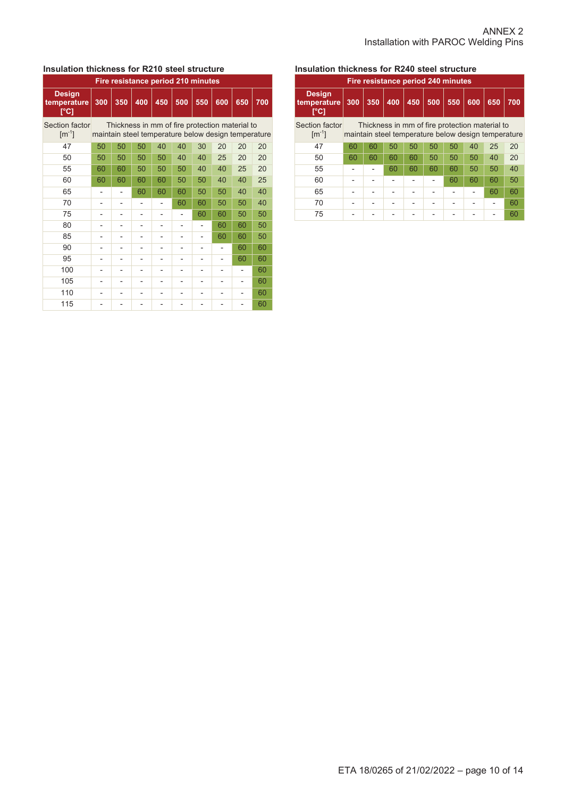# **Insulation thickness for R210 steel structure**

| Fire resistance period 210 minutes             |     |     |     |     |                |     |     |                                                                                                       |     |  |  |  |
|------------------------------------------------|-----|-----|-----|-----|----------------|-----|-----|-------------------------------------------------------------------------------------------------------|-----|--|--|--|
| <b>Design</b><br>temperature<br>$\overline{C}$ | 300 | 350 | 400 | 450 | 500            | 550 | 600 | 650                                                                                                   | 700 |  |  |  |
| Section factor<br>$\lceil m^{-1} \rceil$       |     |     |     |     |                |     |     | Thickness in mm of fire protection material to<br>maintain steel temperature below design temperature |     |  |  |  |
| 47                                             | 50  | 50  | 50  | 40  | 40             | 30  | 20  | 20                                                                                                    | 20  |  |  |  |
| 50                                             | 50  | 50  | 50  | 50  | 40             | 40  | 25  | 20                                                                                                    | 20  |  |  |  |
| 55                                             | 60  | 60  | 50  | 50  | 50             | 40  | 40  | 25                                                                                                    | 20  |  |  |  |
| 60                                             | 60  | 60  | 60  | 60  | 50             | 50  | 40  | 40                                                                                                    | 25  |  |  |  |
| 65                                             |     |     | 60  | 60  | 60             | 50  | 50  | 40                                                                                                    | 40  |  |  |  |
| 70                                             |     |     |     |     | 60             | 60  | 50  | 50                                                                                                    | 40  |  |  |  |
| 75                                             |     |     |     |     |                | 60  | 60  | 50                                                                                                    | 50  |  |  |  |
| 80                                             |     |     |     |     |                |     | 60  | 60                                                                                                    | 50  |  |  |  |
| 85                                             | -   |     |     |     | $\overline{a}$ |     | 60  | 60                                                                                                    | 50  |  |  |  |
| 90                                             | ۰   |     | -   |     | ۰              |     |     | 60                                                                                                    | 60  |  |  |  |
| 95                                             |     |     |     |     |                |     |     | 60                                                                                                    | 60  |  |  |  |
| 100                                            |     |     |     |     |                |     |     |                                                                                                       | 60  |  |  |  |
| 105                                            |     |     |     |     |                |     |     |                                                                                                       | 60  |  |  |  |
| 110                                            |     |     |     |     |                |     |     |                                                                                                       | 60  |  |  |  |
| 115                                            |     |     |     |     |                |     |     |                                                                                                       | 60  |  |  |  |

# **Insulation thickness for R240 steel structure**

| Fire resistance period 240 minutes    |     |                                                                                                       |     |     |     |     |     |     |     |  |  |
|---------------------------------------|-----|-------------------------------------------------------------------------------------------------------|-----|-----|-----|-----|-----|-----|-----|--|--|
| <b>Design</b><br>temperature<br>[°C]  | 300 | 350                                                                                                   | 400 | 450 | 500 | 550 | 600 | 650 | 700 |  |  |
| Section factor<br>$\mathrm{[m^{-1}]}$ |     | Thickness in mm of fire protection material to<br>maintain steel temperature below design temperature |     |     |     |     |     |     |     |  |  |
| 47                                    | 60  | 60                                                                                                    | 50  | 50  | 50  | 50  | 40  | 25  | 20  |  |  |
| 50                                    | 60  | 60                                                                                                    | 60  | 60  | 50  | 50  | 50  | 40  | 20  |  |  |
| 55                                    |     |                                                                                                       | 60  | 60  | 60  | 60  | 50  | 50  | 40  |  |  |
| 60                                    |     |                                                                                                       |     |     |     | 60  | 60  | 60  | 50  |  |  |
| 65                                    |     |                                                                                                       |     |     |     |     |     | 60  | 60  |  |  |
| 70                                    |     |                                                                                                       |     |     |     |     |     |     | 60  |  |  |
| 75                                    |     |                                                                                                       |     |     |     |     |     |     | 60  |  |  |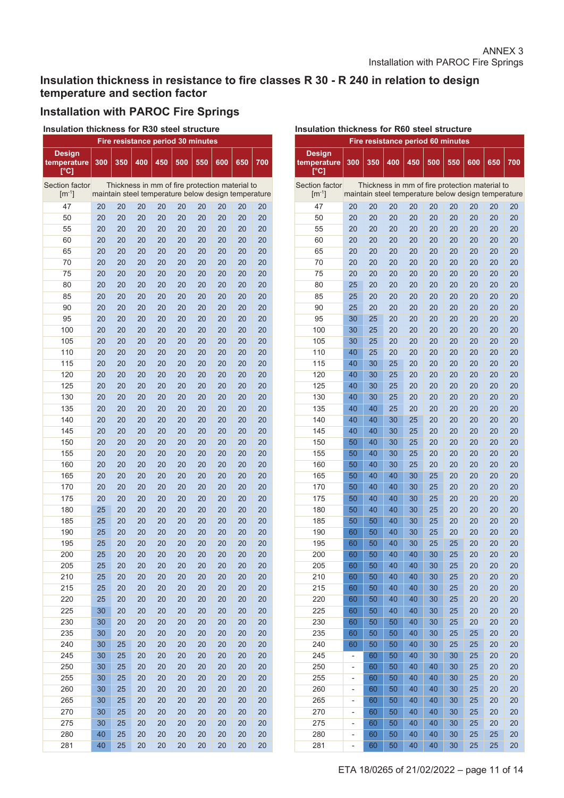# **Insulation thickness in resistance to fire classes R 30 - R 240 in relation to design temperature and section factor**

# **Installation with PAROC Fire Springs**

 **Insulation thickness for R30 steel structure**

| Fire resistance period 30 minutes           |     |     |     |                                                     |     |     |     |     |     |  |  |
|---------------------------------------------|-----|-----|-----|-----------------------------------------------------|-----|-----|-----|-----|-----|--|--|
| <b>Design</b><br>temperature<br><u>୮</u> °C | 300 | 350 | 400 | 450                                                 | 500 | 550 | 600 | 650 | 700 |  |  |
| <b>Section factor</b>                       |     |     |     | Thickness in mm of fire protection material to      |     |     |     |     |     |  |  |
| $\lceil m^{-1} \rceil$                      |     |     |     | maintain steel temperature below design temperature |     |     |     |     |     |  |  |
| 47                                          | 20  | 20  | 20  | 20                                                  | 20  | 20  | 20  | 20  | 20  |  |  |
| 50                                          | 20  | 20  | 20  | 20                                                  | 20  | 20  | 20  | 20  | 20  |  |  |
| 55                                          | 20  | 20  | 20  | 20                                                  | 20  | 20  | 20  | 20  | 20  |  |  |
| 60                                          | 20  | 20  | 20  | 20                                                  | 20  | 20  | 20  | 20  | 20  |  |  |
| 65                                          | 20  | 20  | 20  | 20                                                  | 20  | 20  | 20  | 20  | 20  |  |  |
| 70                                          | 20  | 20  | 20  | 20                                                  | 20  | 20  | 20  | 20  | 20  |  |  |
| 75                                          | 20  | 20  | 20  | 20                                                  | 20  | 20  | 20  | 20  | 20  |  |  |
| 80                                          | 20  | 20  | 20  | 20                                                  | 20  | 20  | 20  | 20  | 20  |  |  |
| 85                                          | 20  | 20  | 20  | 20                                                  | 20  | 20  | 20  | 20  | 20  |  |  |
| 90                                          | 20  | 20  | 20  | 20                                                  | 20  | 20  | 20  | 20  | 20  |  |  |
| 95                                          | 20  | 20  | 20  | 20                                                  | 20  | 20  | 20  | 20  | 20  |  |  |
| 100                                         | 20  | 20  | 20  | 20                                                  | 20  | 20  | 20  | 20  | 20  |  |  |
| 105                                         | 20  | 20  | 20  | 20                                                  | 20  | 20  | 20  | 20  | 20  |  |  |
| 110                                         | 20  | 20  | 20  | 20                                                  | 20  | 20  | 20  | 20  | 20  |  |  |
| 115                                         | 20  | 20  | 20  | 20                                                  | 20  | 20  | 20  | 20  | 20  |  |  |
| 120                                         | 20  | 20  | 20  | 20                                                  | 20  | 20  | 20  | 20  | 20  |  |  |
| 125                                         | 20  | 20  | 20  | 20                                                  | 20  | 20  | 20  | 20  | 20  |  |  |
| 130                                         | 20  | 20  | 20  | 20                                                  | 20  | 20  | 20  | 20  | 20  |  |  |
| 135                                         | 20  | 20  | 20  | 20                                                  | 20  | 20  | 20  | 20  | 20  |  |  |
| 140                                         | 20  | 20  | 20  | 20                                                  | 20  | 20  | 20  | 20  | 20  |  |  |
| 145                                         | 20  | 20  | 20  | 20                                                  | 20  | 20  | 20  | 20  | 20  |  |  |
| 150                                         | 20  | 20  | 20  | 20                                                  | 20  | 20  | 20  | 20  | 20  |  |  |
| 155                                         | 20  | 20  | 20  | 20                                                  | 20  | 20  | 20  | 20  | 20  |  |  |
| 160                                         | 20  | 20  | 20  | 20                                                  | 20  | 20  | 20  | 20  | 20  |  |  |
| 165                                         | 20  | 20  | 20  | 20                                                  | 20  | 20  | 20  | 20  | 20  |  |  |
| 170                                         | 20  | 20  | 20  | 20                                                  | 20  | 20  | 20  | 20  | 20  |  |  |
| 175                                         | 20  | 20  | 20  | 20                                                  | 20  | 20  | 20  | 20  | 20  |  |  |
| 180                                         | 25  | 20  | 20  | 20                                                  | 20  | 20  | 20  | 20  | 20  |  |  |
| 185                                         | 25  | 20  | 20  | 20                                                  | 20  | 20  | 20  | 20  | 20  |  |  |
| 190                                         | 25  | 20  | 20  | 20                                                  | 20  | 20  | 20  | 20  | 20  |  |  |
| 195                                         | 25  | 20  | 20  | 20                                                  | 20  | 20  | 20  | 20  | 20  |  |  |
| 200                                         | 25  | 20  | 20  | 20                                                  | 20  | 20  | 20  | 20  | 20  |  |  |
| 205                                         | 25  | 20  | 20  | 20                                                  | 20  | 20  | 20  | 20  | 20  |  |  |
| 210                                         | 25  | 20  | 20  | 20                                                  | 20  | 20  | 20  | 20  | 20  |  |  |
| 215                                         | 25  | 20  | 20  | 20                                                  | 20  | 20  | 20  | 20  | 20  |  |  |
| 220                                         | 25  | 20  | 20  | 20                                                  | 20  | 20  | 20  | 20  | 20  |  |  |
| 225                                         | 30  | 20  | 20  | 20                                                  | 20  | 20  | 20  | 20  | 20  |  |  |
| 230                                         | 30  | 20  | 20  | 20                                                  | 20  | 20  | 20  | 20  | 20  |  |  |
| 235                                         | 30  | 20  | 20  | 20                                                  | 20  | 20  | 20  | 20  | 20  |  |  |
| 240                                         | 30  | 25  | 20  | 20                                                  | 20  | 20  | 20  | 20  | 20  |  |  |
| 245                                         | 30  | 25  | 20  | 20                                                  | 20  | 20  | 20  | 20  | 20  |  |  |
| 250                                         | 30  | 25  | 20  | 20                                                  | 20  | 20  | 20  | 20  | 20  |  |  |
| 255                                         | 30  | 25  | 20  | 20                                                  | 20  | 20  | 20  | 20  | 20  |  |  |
| 260                                         | 30  | 25  | 20  | 20                                                  | 20  | 20  | 20  | 20  | 20  |  |  |
| 265                                         | 30  | 25  | 20  | 20                                                  | 20  | 20  | 20  | 20  | 20  |  |  |
| 270                                         | 30  | 25  | 20  | 20                                                  | 20  | 20  | 20  | 20  | 20  |  |  |
| 275                                         | 30  | 25  | 20  | 20                                                  | 20  | 20  | 20  | 20  | 20  |  |  |
| 280                                         | 40  | 25  | 20  | 20                                                  | 20  | 20  | 20  | 20  | 20  |  |  |
| 281                                         | 40  | 25  | 20  | 20                                                  | 20  | 20  | 20  | 20  | 20  |  |  |

| Insulation thickness for R60 steel structure |                          |     |                                   |     |     |     |                                                                                                       |     |     |  |  |
|----------------------------------------------|--------------------------|-----|-----------------------------------|-----|-----|-----|-------------------------------------------------------------------------------------------------------|-----|-----|--|--|
|                                              |                          |     | Fire resistance period 60 minutes |     |     |     |                                                                                                       |     |     |  |  |
| Design<br>temperature<br>[°C]                | 300                      | 350 | 400                               | 450 | 500 | 550 | 600                                                                                                   | 650 | 700 |  |  |
| <b>Section factor</b><br>$[m^{-1}]$          |                          |     |                                   |     |     |     | Thickness in mm of fire protection material to<br>maintain steel temperature below design temperature |     |     |  |  |
| 47                                           | 20                       | 20  | 20                                | 20  | 20  | 20  | 20                                                                                                    | 20  | 20  |  |  |
| 50                                           | 20                       | 20  | 20                                | 20  | 20  | 20  | 20                                                                                                    | 20  | 20  |  |  |
| 55                                           | 20                       | 20  | 20                                | 20  | 20  | 20  | 20                                                                                                    | 20  | 20  |  |  |
| 60                                           | 20                       | 20  | 20                                | 20  | 20  | 20  | 20                                                                                                    | 20  | 20  |  |  |
| 65                                           | 20                       | 20  | 20                                | 20  | 20  | 20  | 20                                                                                                    | 20  | 20  |  |  |
| 70                                           | 20                       | 20  | 20                                | 20  | 20  | 20  | 20                                                                                                    | 20  | 20  |  |  |
| 75                                           | 20                       | 20  | 20                                | 20  | 20  | 20  | 20                                                                                                    | 20  | 20  |  |  |
| 80                                           | 25                       | 20  | 20                                | 20  | 20  | 20  | 20                                                                                                    | 20  | 20  |  |  |
| 85                                           | 25                       | 20  | 20                                | 20  | 20  | 20  | 20                                                                                                    | 20  | 20  |  |  |
| 90                                           | 25                       | 20  | 20                                | 20  | 20  | 20  | 20                                                                                                    | 20  | 20  |  |  |
| 95                                           | 30                       | 25  | 20                                | 20  | 20  | 20  | 20                                                                                                    | 20  | 20  |  |  |
| 100                                          | 30                       | 25  | 20                                | 20  | 20  | 20  | 20                                                                                                    | 20  | 20  |  |  |
| 105                                          | 30                       | 25  | 20                                | 20  | 20  | 20  | 20                                                                                                    | 20  | 20  |  |  |
| 110                                          | 40                       | 25  | 20                                | 20  | 20  | 20  | 20                                                                                                    | 20  | 20  |  |  |
| 115                                          | 40                       | 30  | 25                                | 20  | 20  | 20  | 20                                                                                                    | 20  | 20  |  |  |
| 120                                          | 40                       | 30  | 25                                | 20  | 20  | 20  | 20                                                                                                    | 20  | 20  |  |  |
| 125                                          | 40                       | 30  | 25                                | 20  | 20  | 20  | 20                                                                                                    | 20  | 20  |  |  |
| 130                                          | 40                       | 30  | 25                                | 20  | 20  | 20  | 20                                                                                                    | 20  | 20  |  |  |
| 135                                          | 40                       | 40  | 25                                | 20  | 20  | 20  | 20                                                                                                    | 20  | 20  |  |  |
| 140                                          | 40                       | 40  | 30                                | 25  | 20  | 20  | 20                                                                                                    | 20  | 20  |  |  |
| 145                                          | 40                       | 40  | 30                                | 25  | 20  | 20  | 20                                                                                                    | 20  | 20  |  |  |
| 150                                          | 50                       | 40  | 30                                | 25  | 20  | 20  | 20                                                                                                    | 20  | 20  |  |  |
| 155                                          | 50                       | 40  | 30                                | 25  | 20  | 20  | 20                                                                                                    | 20  | 20  |  |  |
| 160                                          | 50                       | 40  | 30                                | 25  | 20  | 20  | 20                                                                                                    | 20  | 20  |  |  |
| 165                                          | 50                       | 40  | 40                                | 30  | 25  | 20  | 20                                                                                                    | 20  | 20  |  |  |
| 170                                          | 50                       | 40  | 40                                | 30  | 25  | 20  | 20                                                                                                    | 20  | 20  |  |  |
| 175                                          | 50                       | 40  | 40                                | 30  | 25  | 20  | 20                                                                                                    | 20  | 20  |  |  |
| 180                                          | 50                       | 40  | 40                                | 30  | 25  | 20  | 20                                                                                                    | 20  | 20  |  |  |
| 185                                          | 50                       | 50  | 40                                | 30  | 25  | 20  | 20                                                                                                    | 20  | 20  |  |  |
| 190                                          | 60                       | 50  | 40                                | 30  | 25  | 20  | 20                                                                                                    | 20  | 20  |  |  |
| 195                                          | 60                       | 50  | 40                                | 30  | 25  | 25  | 20                                                                                                    | 20  | 20  |  |  |
| 200                                          | 60                       | 50  | 40                                | 40  | 30  | 25  | 20                                                                                                    | 20  | 20  |  |  |
| 205                                          | 60                       | 50  | 40                                | 40  | 30  | 25  | 20                                                                                                    | 20  | 20  |  |  |
| 210                                          | 60                       | 50  | 40                                | 40  | 30  | 25  | 20                                                                                                    | 20  | 20  |  |  |
| 215                                          | 60                       | 50  | 40                                | 40  | 30  | 25  | 20                                                                                                    | 20  | 20  |  |  |
| 220                                          | 60                       | 50  | 40                                | 40  | 30  | 25  | 20                                                                                                    | 20  | 20  |  |  |
| 225                                          | 60                       | 50  | 40                                | 40  | 30  | 25  | 20                                                                                                    | 20  | 20  |  |  |
| 230                                          | 60                       | 50  | 50                                | 40  | 30  | 25  | 20                                                                                                    | 20  | 20  |  |  |
| 235                                          | 60                       | 50  | 50                                | 40  | 30  | 25  | 25                                                                                                    | 20  | 20  |  |  |
| 240                                          | 60                       | 50  | 50                                | 40  | 30  | 25  | 25                                                                                                    | 20  | 20  |  |  |
| 245                                          | -                        | 60  | 50                                | 40  | 30  | 30  | 25                                                                                                    | 20  | 20  |  |  |
| 250                                          | -                        | 60  | 50                                | 40  | 40  | 30  | 25                                                                                                    | 20  | 20  |  |  |
| 255                                          | -                        | 60  | 50                                | 40  | 40  | 30  | 25                                                                                                    | 20  | 20  |  |  |
| 260                                          | -                        | 60  | 50                                | 40  | 40  | 30  | 25                                                                                                    | 20  | 20  |  |  |
| 265                                          | -                        | 60  | 50                                | 40  | 40  | 30  | 25                                                                                                    | 20  | 20  |  |  |
| 270                                          | -                        | 60  | 50                                | 40  | 40  | 30  | 25                                                                                                    | 20  | 20  |  |  |
| 275                                          | -                        | 60  | 50                                | 40  | 40  | 30  | 25                                                                                                    | 20  | 20  |  |  |
| 280                                          | $\overline{\phantom{0}}$ | 60  | 50                                | 40  | 40  | 30  | 25                                                                                                    | 25  | 20  |  |  |
| 281                                          | $\overline{\phantom{0}}$ | 60  | 50                                | 40  | 40  | 30  | 25                                                                                                    | 25  | 20  |  |  |
|                                              |                          |     |                                   |     |     |     |                                                                                                       |     |     |  |  |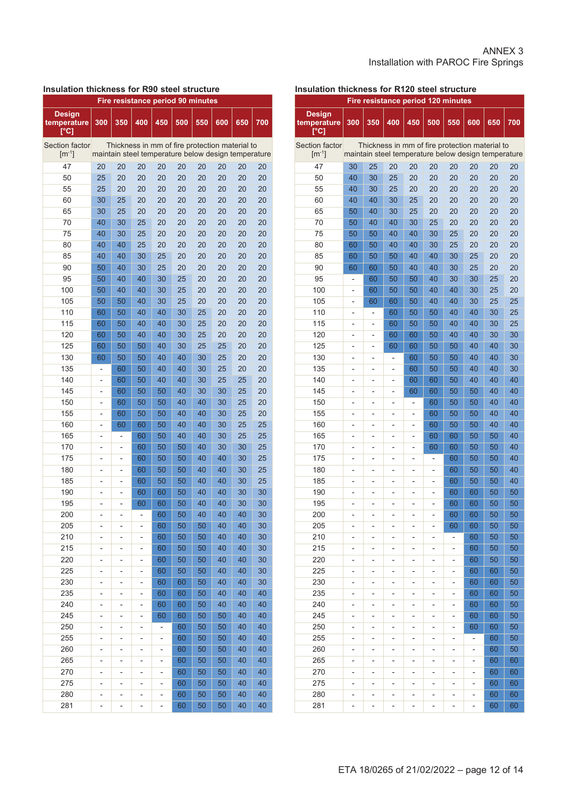#### ANNEX 3 Installation with PAROC Fire Springs

#### **Insulation thickness for R90 steel structure**

| <b>Fire resistance period 90 minutes</b> |                |                |                |                                                     |          |          |          |          |          |  |  |
|------------------------------------------|----------------|----------------|----------------|-----------------------------------------------------|----------|----------|----------|----------|----------|--|--|
| <b>Design</b><br>temperature<br>[°C]     | 300            | 350            | 400            | 450                                                 | 500      | 550      | 600      | 650      | 700      |  |  |
| <b>Section factor</b>                    |                |                |                | Thickness in mm of fire protection material to      |          |          |          |          |          |  |  |
| $\lceil m^{-1} \rceil$                   |                |                |                | maintain steel temperature below design temperature |          |          |          |          |          |  |  |
| 47                                       | 20             | 20             | 20             | 20                                                  | 20       | 20       | 20       | 20       | 20       |  |  |
| 50                                       | 25             | 20             | 20             | 20                                                  | 20       | 20       | 20       | 20       | 20       |  |  |
| 55                                       | 25             | 20             | 20             | 20                                                  | 20       | 20       | 20       | 20       | 20       |  |  |
| 60                                       | 30             | 25             | 20             | 20                                                  | 20       | 20       | 20       | 20       | 20       |  |  |
| 65                                       | 30             | 25             | 20             | 20                                                  | 20       | 20       | 20       | 20       | 20       |  |  |
| 70                                       | 40             | 30             | 25             | 20                                                  | 20       | 20       | 20       | 20       | 20       |  |  |
| 75                                       | 40             | 30             | 25             | 20                                                  | 20       | 20       | 20       | 20       | 20       |  |  |
| 80                                       | 40             | 40             | 25             | 20                                                  | 20       | 20       | 20       | 20       | 20       |  |  |
| 85                                       | 40             | 40             | 30             | 25                                                  | 20       | 20       | 20       | 20       | 20       |  |  |
| 90                                       | 50             | 40             | 30             | 25                                                  | 20       | 20       | 20       | 20       | 20       |  |  |
| 95                                       | 50             | 40             | 40             | 30                                                  | 25       | 20       | 20       | 20       | 20       |  |  |
| 100                                      | 50             | 40             | 40             | 30                                                  | 25       | 20       | 20       | 20       | 20       |  |  |
| 105                                      | 50             | 50             | 40             | 30                                                  | 25       | 20       | 20       | 20       | 20       |  |  |
| 110                                      | 60             | 50             | 40             | 40                                                  | 30       | 25       | 20       | 20       | 20       |  |  |
| 115                                      | 60             | 50             | 40             | 40                                                  | 30       | 25       | 20       | 20       | 20       |  |  |
| 120                                      | 60             | 50             | 40             | 40                                                  | 30       | 25       | 20       | 20       | 20       |  |  |
| 125                                      | 60             | 50             | 50             | 40                                                  | 30       | 25       | 25       | 20       | 20       |  |  |
| 130                                      | 60             | 50             | 50             | 40                                                  | 40       | 30       | 25       | 20       | 20       |  |  |
| 135                                      | $\overline{a}$ | 60             | 50             | 40                                                  | 40       | 30       | 25       | 20       | 20       |  |  |
| 140                                      | $\overline{a}$ | 60             | 50             | 40                                                  | 40       | 30       | 25       | 25       | 20       |  |  |
| 145                                      | -              | 60             | 50             | 50                                                  | 40       | 30       | 30       | 25       | 20       |  |  |
| 150                                      | -              | 60             | 50             | 50                                                  | 40       | 40       | 30       | 25       | 20       |  |  |
| 155                                      | -              | 60             | 50             | 50                                                  | 40       | 40       | 30       | 25       | 20       |  |  |
| 160                                      | $\overline{a}$ | 60             | 60             | 50                                                  | 40       | 40       | 30       | 25       | 25       |  |  |
| 165                                      | $\overline{a}$ | $\overline{a}$ | 60             | 50                                                  | 40       | 40       | 30       | 25       | 25       |  |  |
| 170                                      | $\overline{a}$ | $\overline{a}$ | 60             | 50                                                  | 50       | 40       | 30       | 30       | 25       |  |  |
| 175                                      | $\overline{a}$ | $\overline{a}$ | 60             | 50                                                  | 50       | 40       | 40       | 30       | 25       |  |  |
| 180                                      | $\overline{a}$ | $\overline{a}$ | 60             | 50                                                  | 50       | 40       | 40       | 30       | 25       |  |  |
| 185                                      | $\overline{a}$ | $\overline{a}$ | 60             | 50                                                  | 50       | 40       | 40       | 30       | 25       |  |  |
| 190                                      | -              | $\overline{a}$ | 60             | 60                                                  | 50       | 40       | 40       | 30       | 30       |  |  |
| 195                                      | -              | -              | 60             | 60                                                  | 50       | 40       | 40       | 30       | 30       |  |  |
| 200                                      |                |                |                | 60                                                  | 50       | 40       | 40       | 40       | 30       |  |  |
|                                          |                |                |                |                                                     |          |          | 40       | 40       | 30       |  |  |
| 205<br>210                               |                |                |                | 60                                                  | 50<br>50 | 50       | 40       | 40       | 30       |  |  |
| 215                                      |                |                |                | 60                                                  | 50       | 50       |          | 40       | 30       |  |  |
| 220                                      | -              | -              | -              | 60                                                  |          | 50       | 40       |          | 30       |  |  |
| 225                                      | -              | -              | -              | 60<br>60                                            | 50<br>50 | 50<br>50 | 40<br>40 | 40<br>40 | 30       |  |  |
|                                          | -              | -              | -              |                                                     |          |          |          |          |          |  |  |
| 230<br>235                               | -              | -              | -              | 60                                                  | 60       | 50       | 40<br>40 | 40<br>40 | 30<br>40 |  |  |
| 240                                      | -              | -              | $\overline{a}$ | 60                                                  | 60       | 50       |          |          | 40       |  |  |
|                                          | -              |                | -              | 60                                                  | 60       | 50       | 40       | 40       |          |  |  |
| 245                                      | -              | -              | -              | 60                                                  | 60       | 50       | 50       | 40       | 40       |  |  |
| 250                                      | -              | -              | -              | $\overline{\phantom{0}}$                            | 60       | 50       | 50       | 40       | 40       |  |  |
| 255                                      | -              | -              | -              | -                                                   | 60       | 50       | 50       | 40       | 40       |  |  |
| 260                                      | -              | -              | -              | -                                                   | 60       | 50       | 50       | 40       | 40       |  |  |
| 265                                      | -              | -              | -              | -                                                   | 60       | 50       | 50       | 40       | 40       |  |  |
| 270                                      | -              | -              | -              | -                                                   | 60       | 50       | 50       | 40       | 40       |  |  |
| 275                                      | -              | -              | -              | -                                                   | 60       | 50       | 50       | 40       | 40       |  |  |
| 280                                      | -              | -              | -              | -                                                   | 60       | 50       | 50       | 40       | 40       |  |  |
| 281                                      | -              | -              | -              | -                                                   | 60       | 50       | 50       | 40       | 40       |  |  |

# **Insulation thickness for R120 steel structure**

| <b>Fire resistance period 120 minutes</b> |                          |                          |                |                                                                                                       |                |                |     |     |          |
|-------------------------------------------|--------------------------|--------------------------|----------------|-------------------------------------------------------------------------------------------------------|----------------|----------------|-----|-----|----------|
| <b>Design</b><br>temperature<br>[°C]      | 300                      | 350                      | 400            | 450                                                                                                   | 500            | 550            | 600 | 650 | 700      |
| Section factor<br>$\lceil m^{-1} \rceil$  |                          |                          |                | Thickness in mm of fire protection material to<br>maintain steel temperature below design temperature |                |                |     |     |          |
| 47                                        | 30                       | 25                       | 20             | 20                                                                                                    | 20             | 20             | 20  | 20  | 20       |
| 50                                        | 40                       | 30                       | 25             | 20                                                                                                    | 20             | 20             | 20  | 20  | 20       |
| 55                                        | 40                       | 30                       | 25             | 20                                                                                                    | 20             | 20             | 20  | 20  | 20       |
| 60                                        | 40                       | 40                       | 30             | 25                                                                                                    | 20             | 20             | 20  | 20  | 20       |
| 65                                        | 50                       | 40                       | 30             | 25                                                                                                    | 20             | 20             | 20  | 20  | 20       |
| 70                                        | 50                       | 40                       | 40             | 30                                                                                                    | 25             | 20             | 20  | 20  | 20       |
| 75                                        | 50                       | 50                       | 40             | 40                                                                                                    | 30             | 25             | 20  | 20  | 20       |
| 80                                        | 60                       | 50                       | 40             | 40                                                                                                    | 30             | 25             | 20  | 20  | 20       |
| 85                                        | 60                       | 50                       | 50             | 40                                                                                                    | 40             | 30             | 25  | 20  | 20       |
| 90                                        | 60                       | 60                       | 50             | 40                                                                                                    | 40             | 30             | 25  | 20  | 20       |
| 95                                        | $\overline{a}$           | 60                       | 50             | 50                                                                                                    | 40             | 30             | 30  | 25  | 20       |
| 100                                       | $\overline{a}$           | 60                       | 50             | 50                                                                                                    | 40             | 40             | 30  | 25  | 20       |
| 105                                       | $\overline{a}$           | 60                       | 60             | 50                                                                                                    | 40             | 40             | 30  | 25  | 25       |
| 110                                       | $\overline{a}$           | $\overline{a}$           | 60             | 50                                                                                                    | 50             | 40             | 40  | 30  | 25       |
| 115                                       |                          | -                        | 60             | 50                                                                                                    | 50             | 40             | 40  | 30  | 25       |
| 120                                       |                          |                          |                | 60                                                                                                    | 50             | 40             | 40  | 30  | 30       |
| 125                                       |                          | -                        | 60<br>60       | 60                                                                                                    | 50             | 50             | 40  | 40  | 30       |
|                                           |                          | -                        |                |                                                                                                       |                |                |     |     |          |
| 130<br>135                                | $\overline{a}$           | -                        | $\overline{a}$ | 60                                                                                                    | 50             | 50             | 40  | 40  | 30<br>30 |
|                                           | $\overline{a}$           | -                        | -              | 60                                                                                                    | 50             | 50             | 40  | 40  |          |
| 140                                       | L,                       | -                        | -              | 60                                                                                                    | 60             | 50             | 40  | 40  | 40       |
| 145                                       | L,                       | $\overline{\phantom{0}}$ | -              | 60                                                                                                    | 60             | 50             | 50  | 40  | 40       |
| 150                                       | L,                       | $\overline{\phantom{0}}$ | -              | $\overline{a}$                                                                                        | 60             | 50             | 50  | 40  | 40       |
| 155                                       | $\overline{a}$           | -                        | -              | $\overline{\phantom{0}}$                                                                              | 60             | 50             | 50  | 40  | 40       |
| 160                                       | $\overline{a}$           | -                        | $\overline{a}$ | $\overline{\phantom{0}}$                                                                              | 60             | 50             | 50  | 40  | 40       |
| 165                                       | $\overline{a}$           | -                        | $\overline{a}$ | $\overline{\phantom{0}}$                                                                              | 60             | 60             | 50  | 50  | 40       |
| 170                                       | L,                       | -                        | $\overline{a}$ | $\overline{\phantom{0}}$                                                                              | 60             | 60             | 50  | 50  | 40       |
| 175                                       | -                        | -                        | -              | $\overline{\phantom{0}}$                                                                              | -              | 60             | 50  | 50  | 40       |
| 180                                       | -                        | -                        | -              | $\overline{a}$                                                                                        | -              | 60             | 50  | 50  | 40       |
| 185                                       | -                        | -                        | ٠              | -                                                                                                     | -              | 60             | 50  | 50  | 40       |
| 190                                       | -                        | -                        |                | -                                                                                                     | -              | 60             | 60  | 50  | 50       |
| 195                                       | -                        | -                        |                |                                                                                                       | -              | 60             | 60  | 50  | 50       |
| 200                                       | -                        | -                        | -              | $\overline{a}$                                                                                        | $\overline{a}$ | 60             | 60  | 50  | 50       |
| 205                                       |                          |                          | -              |                                                                                                       | -              | 60             | 60  | 50  | 50       |
| 210                                       | -                        | -                        | -              | -                                                                                                     | -              |                | 60  | 50  | 50       |
| 215                                       | ۰                        | ۰                        | -              | -                                                                                                     | -              | -              | 60  | 50  | 50       |
| 220                                       | -                        | -                        | -              | -                                                                                                     | -              | -              | 60  | 50  | 50       |
| 225                                       | $\overline{\phantom{0}}$ | -                        | -              | $\overline{\phantom{0}}$                                                                              | -              | -              | 60  | 60  | 50       |
| 230                                       | -                        | -                        | -              | $\overline{a}$                                                                                        | -              | -              | 60  | 60  | 50       |
| 235                                       | -                        | -                        | -              | -                                                                                                     | -              | $\overline{a}$ | 60  | 60  | 50       |
| 240                                       | -                        | -                        | -              | -                                                                                                     | -              | -              | 60  | 60  | 50       |
| 245                                       | -                        | -                        | -              | -                                                                                                     | -              | -              | 60  | 60  | 50       |
| 250                                       | -                        | -                        | -              | -                                                                                                     | -              | -              | 60  | 60  | 50       |
| 255                                       | -                        | -                        | -              | -                                                                                                     | -              | -              | -   | 60  | 50       |
| 260                                       | -                        | -                        | -              | -                                                                                                     | -              | -              | -   | 60  | 50       |
| 265                                       | -                        | -                        | -              |                                                                                                       | -              | -              | -   | 60  | 60       |
| 270                                       | -                        | -                        | -              |                                                                                                       | -              | -              | -   | 60  | 60       |
| 275                                       | -                        | -                        | -              |                                                                                                       | -              | -              | -   | 60  | 60       |
| 280                                       | -                        | -                        | -              |                                                                                                       | -              | -              | -   | 60  | 60       |
| 281                                       | -                        | -                        | -              | -                                                                                                     | -              | -              |     | 60  | 60       |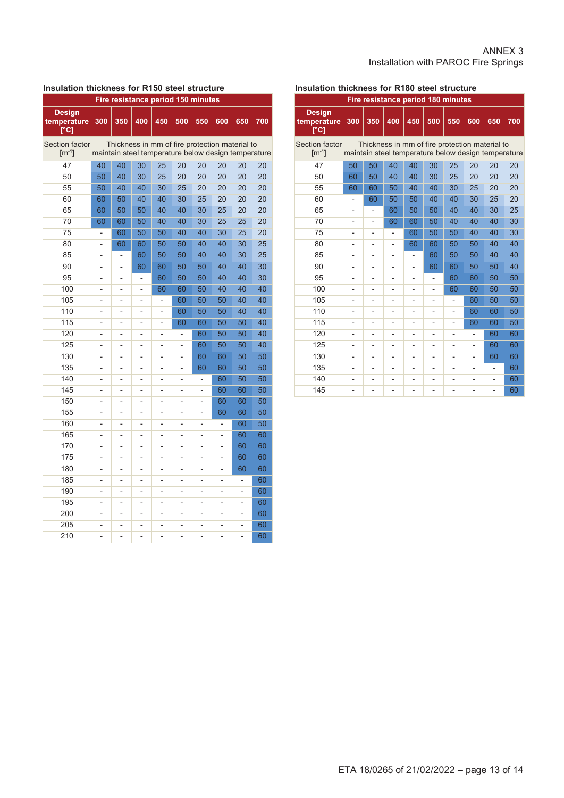#### ANNEX 3 Installation with PAROC Fire Springs

#### **Insulation thickness for R150 steel structure**

| Fire resistance period 150 minutes   |                |                                                                                                       |                          |                          |                |                          |                          |                |     |  |  |  |
|--------------------------------------|----------------|-------------------------------------------------------------------------------------------------------|--------------------------|--------------------------|----------------|--------------------------|--------------------------|----------------|-----|--|--|--|
| <b>Design</b><br>temperature<br>[°C] | 300            | 350                                                                                                   | 400                      | 450                      | 500            | 550                      | 600                      | 650            | 700 |  |  |  |
| Section factor<br>$[m^{-1}]$         |                | Thickness in mm of fire protection material to<br>maintain steel temperature below design temperature |                          |                          |                |                          |                          |                |     |  |  |  |
| 47                                   | 40             | 40                                                                                                    | 30                       | 25                       | 20             | 20                       | 20                       | 20             | 20  |  |  |  |
| 50                                   | 50             | 40                                                                                                    | 30                       | 25                       | 20             | 20                       | 20                       | 20             | 20  |  |  |  |
| 55                                   | 50             | 40                                                                                                    | 40                       | 30                       | 25             | 20                       | 20                       | 20             | 20  |  |  |  |
| 60                                   | 60             | 50                                                                                                    | 40                       | 40                       | 30             | 25                       | 20                       | 20             | 20  |  |  |  |
| 65                                   | 60             | 50                                                                                                    | 50                       | 40                       | 40             | 30                       | 25                       | 20             | 20  |  |  |  |
| 70                                   | 60             | 60                                                                                                    | 50                       | 40                       | 40             | 30                       | 25                       | 25             | 20  |  |  |  |
| 75                                   | $\overline{a}$ | 60                                                                                                    | 50                       | 50                       | 40             | 40                       | 30                       | 25             | 20  |  |  |  |
| 80                                   | -              | 60                                                                                                    | 60                       | 50                       | 50             | 40                       | 40                       | 30             | 25  |  |  |  |
| 85                                   | $\overline{a}$ | L,                                                                                                    | 60                       | 50                       | 50             | 40                       | 40                       | 30             | 25  |  |  |  |
| 90                                   | L,             | L,                                                                                                    | 60                       | 60                       | 50             | 50                       | 40                       | 40             | 30  |  |  |  |
| 95                                   | L,             | $\overline{a}$                                                                                        | ÷                        | 60                       | 50             | 50                       | 40                       | 40             | 30  |  |  |  |
| 100                                  | -              | $\overline{a}$                                                                                        |                          | 60                       | 60             | 50                       | 40                       | 40             | 40  |  |  |  |
| 105                                  | L,             | L,                                                                                                    | $\overline{a}$           | $\overline{a}$           | 60             | 50                       | 50                       | 40             | 40  |  |  |  |
| 110                                  | -              | -                                                                                                     | $\overline{\phantom{0}}$ | $\overline{\phantom{0}}$ | 60             | 50                       | 50                       | 40             | 40  |  |  |  |
| 115                                  | L,             | L,                                                                                                    | $\overline{a}$           | L,                       | 60             | 60                       | 50                       | 50             | 40  |  |  |  |
| 120                                  | $\overline{a}$ | -                                                                                                     | -                        | -                        |                | 60                       | 50                       | 50             | 40  |  |  |  |
| 125                                  | $\overline{a}$ | $\overline{a}$                                                                                        | $\overline{a}$           | $\overline{a}$           | L,             | 60                       | 50                       | 50             | 40  |  |  |  |
| 130                                  | $\overline{a}$ | L,                                                                                                    |                          |                          | $\overline{a}$ | 60                       | 60                       | 50             | 50  |  |  |  |
| 135                                  | L,             | $\overline{a}$                                                                                        | $\overline{a}$           | $\overline{a}$           | L,             | 60                       | 60                       | 50             | 50  |  |  |  |
| 140                                  | L,             | L,                                                                                                    | L,                       |                          | L,             |                          | 60                       | 50             | 50  |  |  |  |
| 145                                  | L,             | $\overline{a}$                                                                                        | $\overline{a}$           | $\overline{a}$           | $\overline{a}$ | $\overline{a}$           | 60                       | 60             | 50  |  |  |  |
| 150                                  | L,             | L,                                                                                                    | $\overline{a}$           |                          | L,             | $\overline{\phantom{0}}$ | 60                       | 60             | 50  |  |  |  |
| 155                                  | L,             | $\overline{\phantom{0}}$                                                                              | $\overline{\phantom{0}}$ | $\overline{a}$           | $\overline{a}$ | $\overline{\phantom{0}}$ | 60                       | 60             | 50  |  |  |  |
| 160                                  | L,             | $\overline{a}$                                                                                        | L,                       | $\overline{a}$           | L,             | ÷                        | $\overline{\phantom{0}}$ | 60             | 50  |  |  |  |
| 165                                  | -              | $\overline{a}$                                                                                        | -                        | -                        | $\overline{a}$ | -                        | -                        | 60             | 60  |  |  |  |
| 170                                  | L,             | L,                                                                                                    | $\overline{a}$           | $\overline{a}$           | L,             | $\overline{a}$           | L,                       | 60             | 60  |  |  |  |
| 175                                  | -              | L,                                                                                                    | -                        | $\overline{a}$           | L,             | L,                       | -                        | 60             | 60  |  |  |  |
| 180                                  | $\overline{a}$ | $\overline{a}$                                                                                        | $\overline{a}$           | $\overline{a}$           | $\overline{a}$ | $\overline{a}$           | $\overline{a}$           | 60             | 60  |  |  |  |
| 185                                  |                | -                                                                                                     |                          |                          |                |                          |                          |                | 60  |  |  |  |
| 190                                  | $\overline{a}$ | $\overline{a}$                                                                                        | $\overline{a}$           | $\overline{a}$           | $\overline{a}$ | L,                       | $\overline{a}$           | $\overline{a}$ | 60  |  |  |  |
| 195                                  | L,             | L,                                                                                                    |                          |                          | L,             | $\overline{a}$           | $\overline{a}$           | L,             | 60  |  |  |  |
| 200                                  | $\overline{a}$ | L,                                                                                                    | $\overline{\phantom{a}}$ | $\overline{a}$           | $\overline{a}$ | $\overline{\phantom{0}}$ | $\overline{\phantom{a}}$ | $\overline{a}$ | 60  |  |  |  |
| 205                                  | l,             |                                                                                                       | $\overline{a}$           |                          | L,             | ÷                        |                          |                | 60  |  |  |  |
| 210                                  |                |                                                                                                       |                          |                          |                |                          |                          |                | 60  |  |  |  |

#### **Insulation thickness for R180 steel structure**

|                                          |                |                          |                |                              | Fire resistance period 180 minutes                                                                    |                          |                |                |     |
|------------------------------------------|----------------|--------------------------|----------------|------------------------------|-------------------------------------------------------------------------------------------------------|--------------------------|----------------|----------------|-----|
| <b>Design</b><br>temperature<br>[°C]     | 300            | 350                      | 400            | 450                          | 500                                                                                                   | 550                      | 600            | 650            | 700 |
| Section factor<br>$\lceil m^{-1} \rceil$ |                |                          |                |                              | Thickness in mm of fire protection material to<br>maintain steel temperature below design temperature |                          |                |                |     |
| 47                                       | 50             | 50                       | 40             | 40                           | 30                                                                                                    | 25                       | 20             | 20             | 20  |
| 50                                       | 60             | 50                       | 40             | 40                           | 30                                                                                                    | 25                       | 20             | 20             | 20  |
| 55                                       | 60             | 60                       | 50             | 40                           | 40                                                                                                    | 30                       | 25             | 20             | 20  |
| 60                                       | $\overline{a}$ | 60                       | 50             | 50                           | 40                                                                                                    | 40                       | 30             | 25             | 20  |
| 65                                       |                |                          | 60             | 50                           | 50                                                                                                    | 40                       | 40             | 30             | 25  |
| 70                                       | $\overline{a}$ | -                        | 60             | 60                           | 50                                                                                                    | 40                       | 40             | 40             | 30  |
| 75                                       | -              | $\overline{a}$           |                | 60                           | 50                                                                                                    | 50                       | 40             | 40             | 30  |
| 80                                       | -              | ÷                        |                | 60                           | 60                                                                                                    | 50                       | 50             | 40             | 40  |
| 85                                       |                | $\overline{a}$           |                | $\overline{\phantom{0}}$     | 60                                                                                                    | 50                       | 50             | 40             | 40  |
| 90                                       | $\overline{a}$ |                          |                | $\overline{a}$               | 60                                                                                                    | 60                       | 50             | 50             | 40  |
| 95                                       | $\overline{a}$ | ÷                        |                | $\overline{a}$               |                                                                                                       | 60                       | 60             | 50             | 50  |
| 100                                      | -              | -                        | $\overline{a}$ | $\overline{\phantom{0}}$     | -                                                                                                     | 60                       | 60             | 50             | 50  |
| 105                                      | $\overline{a}$ | $\overline{a}$           |                | $\overline{\phantom{0}}$     | $\overline{a}$                                                                                        | $\overline{\phantom{0}}$ | 60             | 50             | 50  |
| 110                                      | $\overline{a}$ | $\overline{a}$           |                | $\overline{\phantom{0}}$     | $\blacksquare$                                                                                        | -                        | 60             | 60             | 50  |
| 115                                      |                | ÷                        |                | $\qquad \qquad \blacksquare$ |                                                                                                       | -                        | 60             | 60             | 50  |
| 120                                      |                |                          |                |                              |                                                                                                       |                          |                | 60             | 60  |
| 125                                      | $\overline{a}$ | $\overline{a}$           | $\overline{a}$ | $\overline{a}$               | $\overline{a}$                                                                                        | ÷                        | $\overline{a}$ | 60             | 60  |
| 130                                      | -              | -                        |                | $\overline{a}$               |                                                                                                       | ۰                        | $\overline{a}$ | 60             | 60  |
| 135                                      | -              | $\overline{\phantom{0}}$ | $\blacksquare$ | $\overline{a}$               |                                                                                                       |                          | $\overline{a}$ | $\overline{a}$ | 60  |
| 140                                      | -              | $\blacksquare$           |                | $\blacksquare$               | $\blacksquare$                                                                                        | $\blacksquare$           |                | $\overline{a}$ | 60  |
| 145                                      |                |                          |                |                              |                                                                                                       |                          |                |                | 60  |